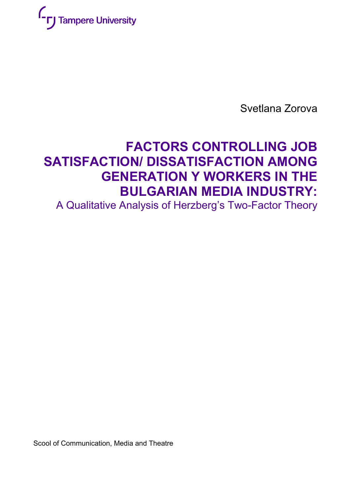

Svetlana Zorova

# **FACTORS CONTROLLING JOB SATISFACTION/ DISSATISFACTION AMONG GENERATION Y WORKERS IN THE BULGARIAN MEDIA INDUSTRY:**

A Qualitative Analysis of Herzberg's Two-Factor Theory

Scool of Communication, Media and Theatre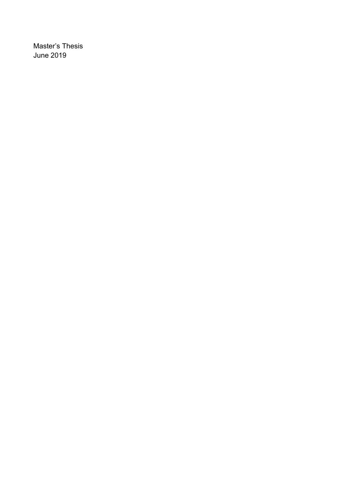Master's Thesis June 2019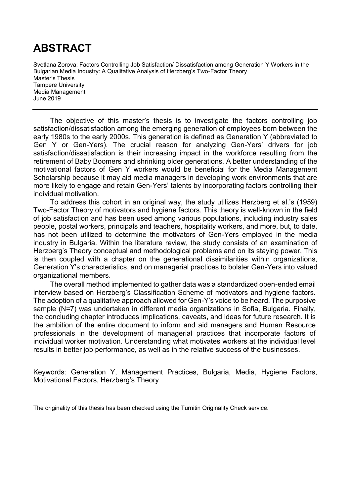# **ABSTRACT**

Svetlana Zorova: Factors Controlling Job Satisfaction/ Dissatisfaction among Generation Y Workers in the Bulgarian Media Industry: A Qualitative Analysis of Herzberg's Two-Factor Theory Master's Thesis Tampere University Media Management June 2019

The objective of this master's thesis is to investigate the factors controlling job satisfaction/dissatisfaction among the emerging generation of employees born between the early 1980s to the early 2000s. This generation is defined as Generation Y (abbreviated to Gen Y or Gen-Yers). The crucial reason for analyzing Gen-Yers' drivers for job satisfaction/dissatisfaction is their increasing impact in the workforce resulting from the retirement of Baby Boomers and shrinking older generations. A better understanding of the motivational factors of Gen Y workers would be beneficial for the Media Management Scholarship because it may aid media managers in developing work environments that are more likely to engage and retain Gen-Yers' talents by incorporating factors controlling their individual motivation.

To address this cohort in an original way, the study utilizes Herzberg et al.'s (1959) Two-Factor Theory of motivators and hygiene factors. This theory is well-known in the field of job satisfaction and has been used among various populations, including industry sales people, postal workers, principals and teachers, hospitality workers, and more, but, to date, has not been utilized to determine the motivators of Gen-Yers employed in the media industry in Bulgaria. Within the literature review, the study consists of an examination of Herzberg's Theory conceptual and methodological problems and on its staying power. This is then coupled with a chapter on the generational dissimilarities within organizations, Generation Y's characteristics, and on managerial practices to bolster Gen-Yers into valued organizational members.

The overall method implemented to gather data was a standardized open-ended email interview based on Herzberg's Classification Scheme of motivators and hygiene factors. The adoption of a qualitative approach allowed for Gen-Y's voice to be heard. The purposive sample (N=7) was undertaken in different media organizations in Sofia, Bulgaria. Finally, the concluding chapter introduces implications, caveats, and ideas for future research. It is the ambition of the entire document to inform and aid managers and Human Resource professionals in the development of managerial practices that incorporate factors of individual worker motivation. Understanding what motivates workers at the individual level results in better job performance, as well as in the relative success of the businesses.

Keywords: Generation Y, Management Practices, Bulgaria, Media, Hygiene Factors, Motivational Factors, Herzberg's Theory

The originality of this thesis has been checked using the Turnitin Originality Check service.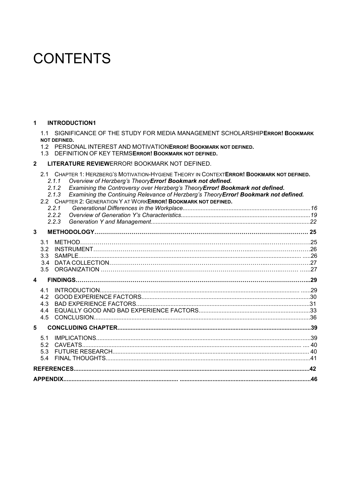# **CONTENTS**

#### **1 [INTRODUCTION1](#page-4-0)**

1.1 SIGNIFICANCE OF THE STUDY FOR MEDIA MANAGEMENT SCHOLARSHIP**ERROR! BOOKMARK NOT DEFINED.**

1.2 PERSONAL INTEREST AND MOTIVATION**ERROR! BOOKMARK NOT DEFINED.**

#### 1.3 DEFINITION OF KEY TERMS**ERROR! BOOKMARK NOT DEFINED.**

#### **2 LITERATURE REVIEW**ERROR! BOOKMARK NOT DEFINED.

2.1 CHAPTER 1: HERZBERG'S MOTIVATION-HYGIENE THEORY IN CONTEXT**ERROR! BOOKMARK NOT DEFINED.**

- *2.1.1 Overview of Herzberg's TheoryError! Bookmark not defined.*
- *2.1.2 Examining the Controversy over Herzberg's TheoryError! Bookmark not defined.*
- *2.1.3 Examining the Continuing Relevance of Herzberg's TheoryError! Bookmark not defined.*
- 2.2 CHAPTER 2: GENERATION Y AT WORK**ERROR! BOOKMARK NOT DEFINED.**

|   |                  | 2.2.1 |  |  |
|---|------------------|-------|--|--|
|   |                  | 2.2.2 |  |  |
|   |                  | 2.2.3 |  |  |
| 3 |                  |       |  |  |
|   | $\overline{3}1$  |       |  |  |
|   | 32               |       |  |  |
|   | 3.3 <sub>1</sub> |       |  |  |
|   | 3.4              |       |  |  |
|   | 3.5              |       |  |  |
| 4 |                  |       |  |  |
|   | 41               |       |  |  |
|   | 42               |       |  |  |
|   | 4.3              |       |  |  |
|   | 4.4              |       |  |  |
|   | 4.5              |       |  |  |
| 5 |                  |       |  |  |
|   | 51               |       |  |  |
|   | 5.2              |       |  |  |
|   | 5.3              |       |  |  |
|   | 54               |       |  |  |
|   |                  |       |  |  |
|   |                  |       |  |  |
|   |                  |       |  |  |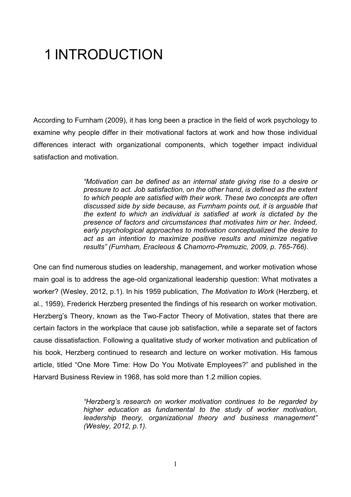# <span id="page-4-0"></span>1 INTRODUCTION

According to Furnham (2009), it has long been a practice in the field of work psychology to examine why people differ in their motivational factors at work and how those individual differences interact with organizational components, which together impact individual satisfaction and motivation.

> *"Motivation can be defined as an internal state giving rise to a desire or pressure to act. Job satisfaction, on the other hand, is defined as the extent to which people are satisfied with their work. These two concepts are often discussed side by side because, as Furnham points out, it is arguable that the extent to which an individual is satisfied at work is dictated by the presence of factors and circumstances that motivates him or her. Indeed, early psychological approaches to motivation conceptualized the desire to act as an intention to maximize positive results and minimize negative results" (Furnham, Eracleous & Chamorro-Premuzic, 2009, p. 765-766).*

One can find numerous studies on leadership, management, and worker motivation whose main goal is to address the age-old organizational leadership question: What motivates a worker? (Wesley, 2012, p.1). In his 1959 publication, *The Motivation to Work* (Herzberg, et al., 1959), Frederick Herzberg presented the findings of his research on worker motivation. Herzberg's Theory, known as the Two-Factor Theory of Motivation, states that there are certain factors in the workplace that cause job satisfaction, while a separate set of factors cause dissatisfaction. Following a qualitative study of worker motivation and publication of his book, Herzberg continued to research and lecture on worker motivation. His famous article, titled "One More Time: How Do You Motivate Employees?" and published in the Harvard Business Review in 1968, has sold more than 1.2 million copies.

> *"Herzberg's research on worker motivation continues to be regarded by higher education as fundamental to the study of worker motivation, leadership theory, organizational theory and business management" (Wesley, 2012, p.1).*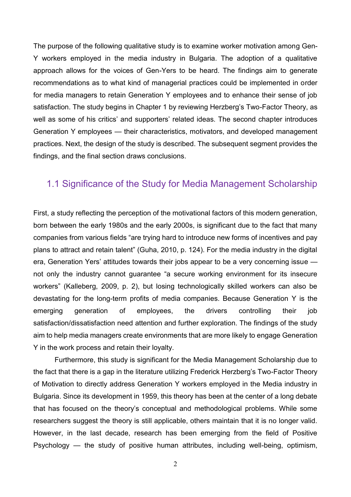The purpose of the following qualitative study is to examine worker motivation among Gen-Y workers employed in the media industry in Bulgaria. The adoption of a qualitative approach allows for the voices of Gen-Yers to be heard. The findings aim to generate recommendations as to what kind of managerial practices could be implemented in order for media managers to retain Generation Y employees and to enhance their sense of job satisfaction. The study begins in Chapter 1 by reviewing Herzberg's Two-Factor Theory, as well as some of his critics' and supporters' related ideas. The second chapter introduces Generation Y employees — their characteristics, motivators, and developed management practices. Next, the design of the study is described. The subsequent segment provides the findings, and the final section draws conclusions.

### 1.1 Significance of the Study for Media Management Scholarship

First, a study reflecting the perception of the motivational factors of this modern generation, born between the early 1980s and the early 2000s, is significant due to the fact that many companies from various fields "are trying hard to introduce new forms of incentives and pay plans to attract and retain talent" (Guha, 2010, p. 124). For the media industry in the digital era, Generation Yers' attitudes towards their jobs appear to be a very concerning issue not only the industry cannot guarantee "a secure working environment for its insecure workers" (Kalleberg, 2009, p. 2), but losing technologically skilled workers can also be devastating for the long-term profits of media companies. Because Generation Y is the emerging generation of employees, the drivers controlling their job satisfaction/dissatisfaction need attention and further exploration. The findings of the study aim to help media managers create environments that are more likely to engage Generation Y in the work process and retain their loyalty.

Furthermore, this study is significant for the Media Management Scholarship due to the fact that there is a gap in the literature utilizing Frederick Herzberg's Two-Factor Theory of Motivation to directly address Generation Y workers employed in the Media industry in Bulgaria. Since its development in 1959, this theory has been at the center of a long debate that has focused on the theory's conceptual and methodological problems. While some researchers suggest the theory is still applicable, others maintain that it is no longer valid. However, in the last decade, research has been emerging from the field of Positive Psychology — the study of positive human attributes, including well-being, optimism,

2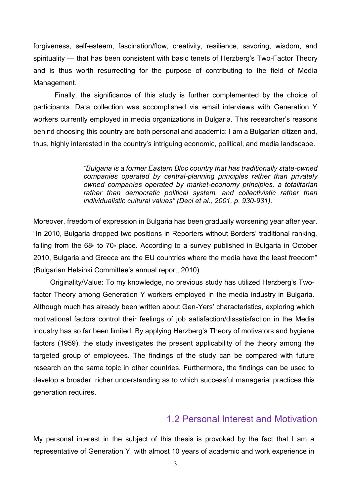forgiveness, self-esteem, fascination/flow, creativity, resilience, savoring, wisdom, and spirituality — that has been consistent with basic tenets of Herzberg's Two-Factor Theory and is thus worth resurrecting for the purpose of contributing to the field of Media Management.

Finally, the significance of this study is further complemented by the choice of participants. Data collection was accomplished via email interviews with Generation Y workers currently employed in media organizations in Bulgaria. This researcher's reasons behind choosing this country are both personal and academic: I am a Bulgarian citizen and, thus, highly interested in the country's intriguing economic, political, and media landscape.

> *"Bulgaria is a former Eastern Bloc country that has traditionally state-owned companies operated by central-planning principles rather than privately owned companies operated by market-economy principles, a totalitarian rather than democratic political system, and collectivistic rather than individualistic cultural values" (Deci et al., 2001, p. 930-931).*

Moreover, freedom of expression in Bulgaria has been gradually worsening year after year. "In 2010, Bulgaria dropped two positions in Reporters without Borders' traditional ranking, falling from the  $68<sup>th</sup>$  to  $70<sup>th</sup>$  place. According to a survey published in Bulgaria in October 2010, Bulgaria and Greece are the EU countries where the media have the least freedom" (Bulgarian Helsinki Committee's annual report, 2010).

Originality/Value: To my knowledge, no previous study has utilized Herzberg's Twofactor Theory among Generation Y workers employed in the media industry in Bulgaria. Although much has already been written about Gen-Yers' characteristics, exploring which motivational factors control their feelings of job satisfaction/dissatisfaction in the Media industry has so far been limited. By applying Herzberg's Theory of motivators and hygiene factors (1959), the study investigates the present applicability of the theory among the targeted group of employees. The findings of the study can be compared with future research on the same topic in other countries. Furthermore, the findings can be used to develop a broader, richer understanding as to which successful managerial practices this generation requires.

#### 1.2 Personal Interest and Motivation

My personal interest in the subject of this thesis is provoked by the fact that I am a representative of Generation Y, with almost 10 years of academic and work experience in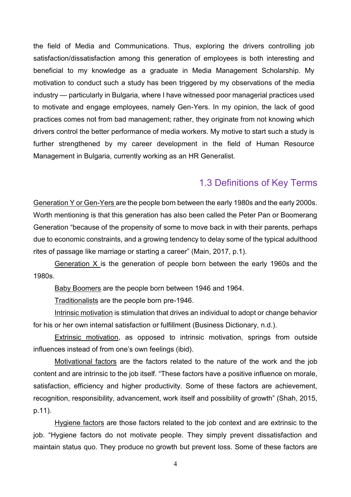the field of Media and Communications. Thus, exploring the drivers controlling job satisfaction/dissatisfaction among this generation of employees is both interesting and beneficial to my knowledge as a graduate in Media Management Scholarship. My motivation to conduct such a study has been triggered by my observations of the media industry — particularly in Bulgaria, where I have witnessed poor managerial practices used to motivate and engage employees, namely Gen-Yers. In my opinion, the lack of good practices comes not from bad management; rather, they originate from not knowing which drivers control the better performance of media workers. My motive to start such a study is further strengthened by my career development in the field of Human Resource Management in Bulgaria, currently working as an HR Generalist.

### 1.3 Definitions of Key Terms

Generation Y or Gen-Yers are the people born between the early 1980s and the early 2000s. Worth mentioning is that this generation has also been called the Peter Pan or Boomerang Generation "because of the propensity of some to move back in with their parents, perhaps due to economic constraints, and a growing tendency to delay some of the typical adulthood rites of passage like marriage or starting a career" (Main, 2017, p.1).

Generation X is the generation of people born between the early 1960s and the 1980s.

Baby Boomers are the people born between 1946 and 1964.

Traditionalists are the people born pre-1946.

Intrinsic motivation is stimulation that drives an individual to adopt or change behavior for his or her own internal satisfaction or fulfillment (Business Dictionary, n.d.).

Extrinsic motivation, as opposed to intrinsic motivation, springs from outside influences instead of from one's own feelings (ibid).

Motivational factors are the factors related to the nature of the work and the job content and are intrinsic to the job itself. "These factors have a positive influence on morale, satisfaction, efficiency and higher productivity. Some of these factors are achievement, recognition, responsibility, advancement, work itself and possibility of growth" (Shah, 2015, p.11).

Hygiene factors are those factors related to the job context and are extrinsic to the job. "Hygiene factors do not motivate people. They simply prevent dissatisfaction and maintain status quo. They produce no growth but prevent loss. Some of these factors are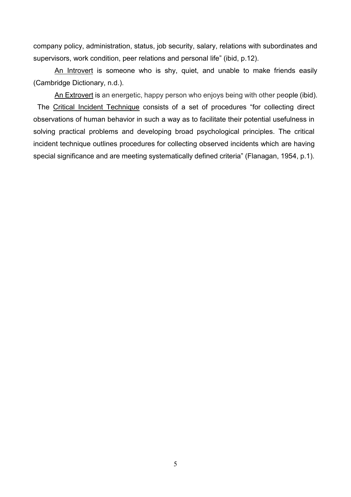company policy, administration, status, job security, salary, relations with subordinates and supervisors, work condition, peer relations and personal life" (ibid, p.12).

An Introvert is someone who is shy, quiet, and unable to make friends easily (Cambridge Dictionary, n.d.).

An Extrovert is an energetic, happy person who enjoys being with other people (ibid). The Critical Incident Technique consists of a set of procedures "for collecting direct observations of human behavior in such a way as to facilitate their potential usefulness in solving practical problems and developing broad psychological principles. The critical incident technique outlines procedures for collecting observed incidents which are having special significance and are meeting systematically defined criteria" (Flanagan, 1954, p.1).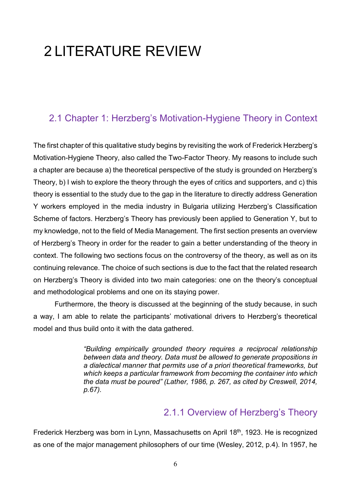# 2 LITERATURE REVIEW

# 2.1 Chapter 1: Herzberg's Motivation-Hygiene Theory in Context

The first chapter of this qualitative study begins by revisiting the work of Frederick Herzberg's Motivation-Hygiene Theory, also called the Two-Factor Theory. My reasons to include such a chapter are because a) the theoretical perspective of the study is grounded on Herzberg's Theory, b) I wish to explore the theory through the eyes of critics and supporters, and c) this theory is essential to the study due to the gap in the literature to directly address Generation Y workers employed in the media industry in Bulgaria utilizing Herzberg's Classification Scheme of factors. Herzberg's Theory has previously been applied to Generation Y, but to my knowledge, not to the field of Media Management. The first section presents an overview of Herzberg's Theory in order for the reader to gain a better understanding of the theory in context. The following two sections focus on the controversy of the theory, as well as on its continuing relevance. The choice of such sections is due to the fact that the related research on Herzberg's Theory is divided into two main categories: one on the theory's conceptual and methodological problems and one on its staying power.

Furthermore, the theory is discussed at the beginning of the study because, in such a way, I am able to relate the participants' motivational drivers to Herzberg's theoretical model and thus build onto it with the data gathered.

> *"Building empirically grounded theory requires a reciprocal relationship between data and theory. Data must be allowed to generate propositions in a dialectical manner that permits use of a priori theoretical frameworks, but which keeps a particular framework from becoming the container into which the data must be poured" (Lather, 1986, p. 267, as cited by Creswell, 2014, p.67).*

### 2.1.1 Overview of Herzberg's Theory

Frederick Herzberg was born in Lynn, Massachusetts on April 18th, 1923. He is recognized as one of the major management philosophers of our time (Wesley, 2012, p.4). In 1957, he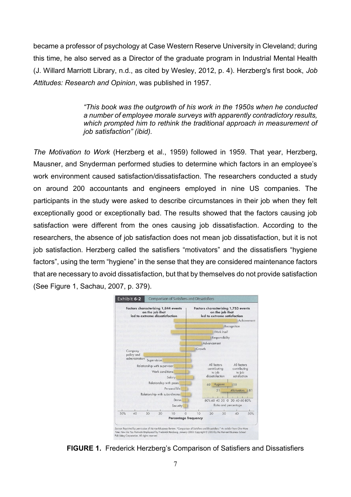became a professor of psychology at Case Western Reserve University in Cleveland; during this time, he also served as a Director of the graduate program in Industrial Mental Health (J. Willard Marriott Library, n.d., as cited by Wesley, 2012, p. 4). Herzberg's first book, *Job Attitudes: Research and Opinion*, was published in 1957.

> *"This book was the outgrowth of his work in the 1950s when he conducted a number of employee morale surveys with apparently contradictory results, which prompted him to rethink the traditional approach in measurement of job satisfaction" (ibid).*

*The Motivation to Work* (Herzberg et al., 1959) followed in 1959. That year, Herzberg, Mausner, and Snyderman performed studies to determine which factors in an employee's work environment caused satisfaction/dissatisfaction. The researchers conducted a study on around 200 accountants and engineers employed in nine US companies. The participants in the study were asked to describe circumstances in their job when they felt exceptionally good or exceptionally bad. The results showed that the factors causing job satisfaction were different from the ones causing job dissatisfaction. According to the researchers, the absence of job satisfaction does not mean job dissatisfaction, but it is not job satisfaction. Herzberg called the satisfiers "motivators" and the dissatisfiers "hygiene factors", using the term "hygiene" in the sense that they are considered maintenance factors that are necessary to avoid dissatisfaction, but that by themselves do not provide satisfaction (See Figure 1, Sachau, 2007, p. 379).



**FIGURE 1.** Frederick Herzberg's Comparison of Satisfiers and Dissatisfiers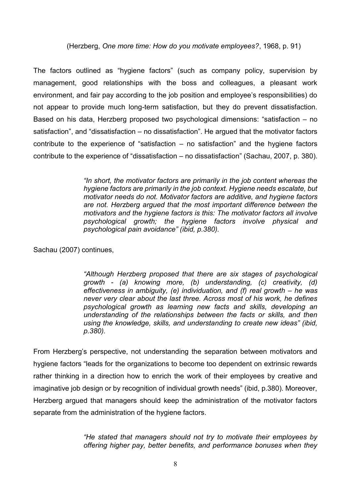(Herzberg, *One more time: How do you motivate employees?*, 1968, p. 91)

The factors outlined as "hygiene factors" (such as company policy, supervision by management, good relationships with the boss and colleagues, a pleasant work environment, and fair pay according to the job position and employee's responsibilities) do not appear to provide much long-term satisfaction, but they do prevent dissatisfaction. Based on his data, Herzberg proposed two psychological dimensions: "satisfaction – no satisfaction", and "dissatisfaction – no dissatisfaction". He argued that the motivator factors contribute to the experience of "satisfaction – no satisfaction" and the hygiene factors contribute to the experience of "dissatisfaction – no dissatisfaction" (Sachau, 2007, p. 380).

> *"In short, the motivator factors are primarily in the job content whereas the hygiene factors are primarily in the job context. Hygiene needs escalate, but motivator needs do not. Motivator factors are additive, and hygiene factors are not. Herzberg argued that the most important difference between the motivators and the hygiene factors is this: The motivator factors all involve psychological growth; the hygiene factors involve physical and psychological pain avoidance" (ibid, p.380).*

Sachau (2007) continues,

*"Although Herzberg proposed that there are six stages of psychological growth - (a) knowing more, (b) understanding, (c) creativity, (d) effectiveness in ambiguity, (e) individuation, and (f) real growth – he was never very clear about the last three. Across most of his work, he defines psychological growth as learning new facts and skills, developing an understanding of the relationships between the facts or skills, and then using the knowledge, skills, and understanding to create new ideas" (ibid, p.380).* 

From Herzberg's perspective, not understanding the separation between motivators and hygiene factors "leads for the organizations to become too dependent on extrinsic rewards rather thinking in a direction how to enrich the work of their employees by creative and imaginative job design or by recognition of individual growth needs" (ibid, p.380). Moreover, Herzberg argued that managers should keep the administration of the motivator factors separate from the administration of the hygiene factors.

> *"He stated that managers should not try to motivate their employees by offering higher pay, better benefits, and performance bonuses when they*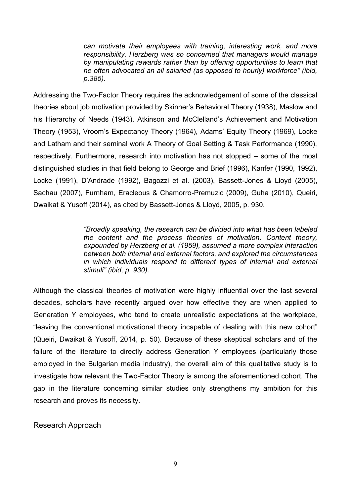*can motivate their employees with training, interesting work, and more responsibility. Herzberg was so concerned that managers would manage by manipulating rewards rather than by offering opportunities to learn that he often advocated an all salaried (as opposed to hourly) workforce" (ibid, p.385).*

Addressing the Two-Factor Theory requires the acknowledgement of some of the classical theories about job motivation provided by Skinner's Behavioral Theory (1938), Maslow and his Hierarchy of Needs (1943), Atkinson and McClelland's Achievement and Motivation Theory (1953), Vroom's Expectancy Theory (1964), Adams' Equity Theory (1969), Locke and Latham and their seminal work A Theory of Goal Setting & Task Performance (1990), respectively. Furthermore, research into motivation has not stopped – some of the most distinguished studies in that field belong to George and Brief (1996), Kanfer (1990, 1992), Locke (1991), D'Andrade (1992), Bagozzi et al. (2003), Bassett-Jones & Lloyd (2005), Sachau (2007), Furnham, Eracleous & Chamorro-Premuzic (2009), Guha (2010), Queiri, Dwaikat & Yusoff (2014), as cited by Bassett-Jones & Lloyd, 2005, p. 930.

> *"Broadly speaking, the research can be divided into what has been labeled the content and the process theories of motivation. Content theory, expounded by Herzberg et al. (1959), assumed a more complex interaction between both internal and external factors, and explored the circumstances in which individuals respond to different types of internal and external stimuli" (ibid, p. 930).*

Although the classical theories of motivation were highly influential over the last several decades, scholars have recently argued over how effective they are when applied to Generation Y employees, who tend to create unrealistic expectations at the workplace, "leaving the conventional motivational theory incapable of dealing with this new cohort" (Queiri, Dwaikat & Yusoff, 2014, p. 50). Because of these skeptical scholars and of the failure of the literature to directly address Generation Y employees (particularly those employed in the Bulgarian media industry), the overall aim of this qualitative study is to investigate how relevant the Two-Factor Theory is among the aforementioned cohort. The gap in the literature concerning similar studies only strengthens my ambition for this research and proves its necessity.

Research Approach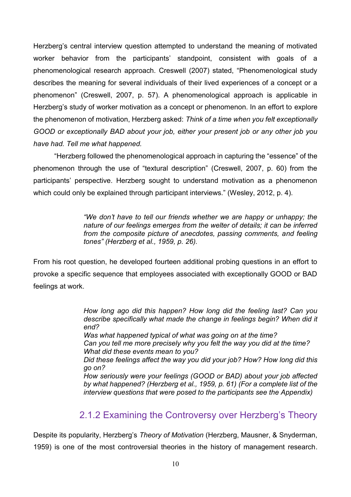Herzberg's central interview question attempted to understand the meaning of motivated worker behavior from the participants' standpoint, consistent with goals of a phenomenological research approach. Creswell (2007) stated, "Phenomenological study describes the meaning for several individuals of their lived experiences of a concept or a phenomenon" (Creswell, 2007, p. 57). A phenomenological approach is applicable in Herzberg's study of worker motivation as a concept or phenomenon. In an effort to explore the phenomenon of motivation, Herzberg asked: *Think of a time when you felt exceptionally GOOD or exceptionally BAD about your job, either your present job or any other job you have had. Tell me what happened.* 

"Herzberg followed the phenomenological approach in capturing the "essence" of the phenomenon through the use of "textural description" (Creswell, 2007, p. 60) from the participants' perspective. Herzberg sought to understand motivation as a phenomenon which could only be explained through participant interviews." (Wesley, 2012, p. 4).

> *"We don't have to tell our friends whether we are happy or unhappy; the nature of our feelings emerges from the welter of details; it can be inferred from the composite picture of anecdotes, passing comments, and feeling tones" (Herzberg et al., 1959, p. 26).*

From his root question, he developed fourteen additional probing questions in an effort to provoke a specific sequence that employees associated with exceptionally GOOD or BAD feelings at work.

> *How long ago did this happen? How long did the feeling last? Can you describe specifically what made the change in feelings begin? When did it end? Was what happened typical of what was going on at the time? Can you tell me more precisely why you felt the way you did at the time? What did these events mean to you? Did these feelings affect the way you did your job? How? How long did this go on? How seriously were your feelings (GOOD or BAD) about your job affected by what happened? (Herzberg et al., 1959, p. 61) (For a complete list of the interview questions that were posed to the participants see the Appendix)*

### 2.1.2 Examining the Controversy over Herzberg's Theory

Despite its popularity, Herzberg's *Theory of Motivation* (Herzberg, Mausner, & Snyderman, 1959) is one of the most controversial theories in the history of management research.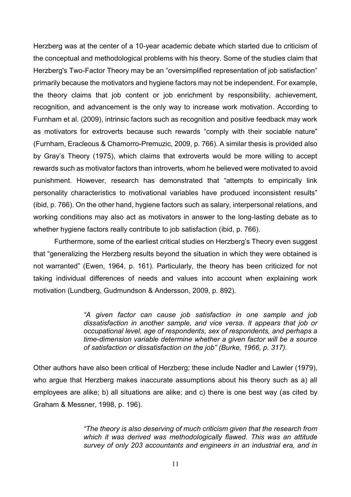Herzberg was at the center of a 10-year academic debate which started due to criticism of the conceptual and methodological problems with his theory. Some of the studies claim that Herzberg's Two-Factor Theory may be an "oversimplified representation of job satisfaction" primarily because the motivators and hygiene factors may not be independent. For example, the theory claims that job content or job enrichment by responsibility, achievement, recognition, and advancement is the only way to increase work motivation. According to Furnham et al. (2009), intrinsic factors such as recognition and positive feedback may work as motivators for extroverts because such rewards "comply with their sociable nature" (Furnham, Eracleous & Chamorro-Premuzic, 2009, p. 766). A similar thesis is provided also by Gray's Theory (1975), which claims that extroverts would be more willing to accept rewards such as motivator factors than introverts, whom he believed were motivated to avoid punishment. However, research has demonstrated that "attempts to empirically link personality characteristics to motivational variables have produced inconsistent results" (ibid, p. 766). On the other hand, hygiene factors such as salary, interpersonal relations, and working conditions may also act as motivators in answer to the long-lasting debate as to whether hygiene factors really contribute to job satisfaction (ibid, p. 766).

Furthermore, some of the earliest critical studies on Herzberg's Theory even suggest that "generalizing the Herzberg results beyond the situation in which they were obtained is not warranted" (Ewen, 1964, p. 161). Particularly, the theory has been criticized for not taking individual differences of needs and values into account when explaining work motivation (Lundberg, Gudmundson & Andersson, 2009, p. 892).

> *"A given factor can cause job satisfaction in one sample and job dissatisfaction in another sample, and vice versa. It appears that job or occupational level, age of respondents, sex of respondents, and perhaps a time-dimension variable determine whether a given factor will be a source of satisfaction or dissatisfaction on the job" (Burke, 1966, p. 317).*

Other authors have also been critical of Herzberg; these include Nadler and Lawler (1979), who argue that Herzberg makes inaccurate assumptions about his theory such as a) all employees are alike; b) all situations are alike; and c) there is one best way (as cited by Graham & Messner, 1998, p. 196).

> *"The theory is also deserving of much criticism given that the research from which it was derived was methodologically flawed. This was an attitude survey of only 203 accountants and engineers in an industrial era, and in*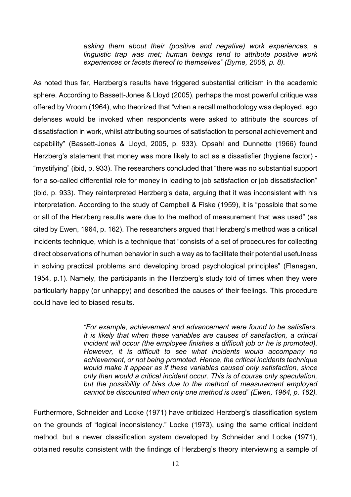*asking them about their (positive and negative) work experiences, a linguistic trap was met; human beings tend to attribute positive work experiences or facets thereof to themselves" (Byrne, 2006, p. 8).*

As noted thus far, Herzberg's results have triggered substantial criticism in the academic sphere. According to Bassett-Jones & Lloyd (2005), perhaps the most powerful critique was offered by Vroom (1964), who theorized that "when a recall methodology was deployed, ego defenses would be invoked when respondents were asked to attribute the sources of dissatisfaction in work, whilst attributing sources of satisfaction to personal achievement and capability" (Bassett-Jones & Lloyd, 2005, p. 933). Opsahl and Dunnette (1966) found Herzberg's statement that money was more likely to act as a dissatisfier (hygiene factor) - "mystifying" (ibid, p. 933). The researchers concluded that "there was no substantial support for a so-called differential role for money in leading to job satisfaction or job dissatisfaction" (ibid, p. 933). They reinterpreted Herzberg's data, arguing that it was inconsistent with his interpretation. According to the study of Campbell & Fiske (1959), it is "possible that some or all of the Herzberg results were due to the method of measurement that was used" (as cited by Ewen, 1964, p. 162). The researchers argued that Herzberg's method was a critical incidents technique, which is a technique that "consists of a set of procedures for collecting direct observations of human behavior in such a way as to facilitate their potential usefulness in solving practical problems and developing broad psychological principles" (Flanagan, 1954, p.1). Namely, the participants in the Herzberg's study told of times when they were particularly happy (or unhappy) and described the causes of their feelings. This procedure could have led to biased results.

> *"For example, achievement and advancement were found to be satisfiers. It is likely that when these variables are causes of satisfaction, a critical incident will occur (the employee finishes a difficult job or he is promoted). However, it is difficult to see what incidents would accompany no achievement, or not being promoted. Hence, the critical incidents technique would make it appear as if these variables caused only satisfaction, since only then would a critical incident occur. This is of course only speculation, but the possibility of bias due to the method of measurement employed cannot be discounted when only one method is used" (Ewen, 1964, p. 162).*

Furthermore, Schneider and Locke (1971) have criticized Herzberg's classification system on the grounds of "logical inconsistency." Locke (1973), using the same critical incident method, but a newer classification system developed by Schneider and Locke (1971), obtained results consistent with the findings of Herzberg's theory interviewing а sample of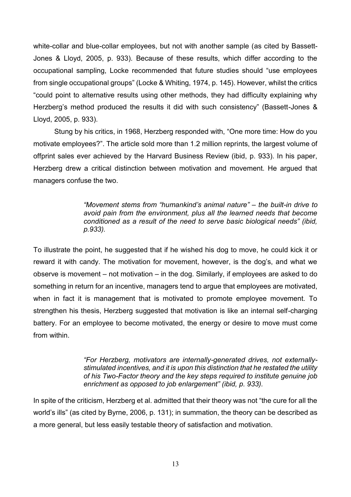white-collar and blue-collar employees, but not with another sample (as cited by Bassett-Jones & Lloyd, 2005, p. 933). Because of these results, which differ according to the occupational sampling, Locke recommended that future studies should "use employees from single occupational groups" (Locke & Whiting, 1974, p. 145). However, whilst the critics "could point to alternative results using other methods, they had difficulty explaining why Herzberg's method produced the results it did with such consistency" (Bassett-Jones & Lloyd, 2005, p. 933).

Stung by his critics, in 1968, Herzberg responded with, "One more time: How do you motivate employees?". The article sold more than 1.2 million reprints, the largest volume of offprint sales ever achieved by the Harvard Business Review (ibid, p. 933). In his paper, Herzberg drew a critical distinction between motivation and movement. He argued that managers confuse the two.

> *"Movement stems from "humankind's animal nature" – the built-in drive to avoid pain from the environment, plus all the learned needs that become conditioned as a result of the need to serve basic biological needs" (ibid, p.933).*

To illustrate the point, he suggested that if he wished his dog to move, he could kick it or reward it with candy. The motivation for movement, however, is the dog's, and what we observe is movement – not motivation – in the dog. Similarly, if employees are asked to do something in return for an incentive, managers tend to argue that employees are motivated, when in fact it is management that is motivated to promote employee movement. To strengthen his thesis, Herzberg suggested that motivation is like an internal self-charging battery. For an employee to become motivated, the energy or desire to move must come from within.

> *"For Herzberg, motivators are internally-generated drives, not externallystimulated incentives, and it is upon this distinction that he restated the utility of his Two-Factor theory and the key steps required to institute genuine job enrichment as opposed to job enlargement" (ibid, p. 933).*

In spite of the criticism, Herzberg et al. admitted that their theory was not "the cure for all the world's ills" (as cited by Byrne, 2006, p. 131); in summation, the theory can be described as a more general, but less easily testable theory of satisfaction and motivation.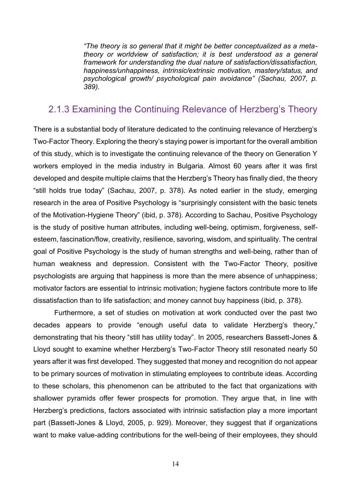*"The theory is so general that it might be better conceptualized as a metatheory or worldview of satisfaction; it is best understood as a general framework for understanding the dual nature of satisfaction/dissatisfaction, happiness/unhappiness, intrinsic/extrinsic motivation, mastery/status, and psychological growth/ psychological pain avoidance" (Sachau, 2007, p. 389).*

#### 2.1.3 Examining the Continuing Relevance of Herzberg's Theory

There is a substantial body of literature dedicated to the continuing relevance of Herzberg's Two-Factor Theory. Exploring the theory's staying power is important for the overall ambition of this study, which is to investigate the continuing relevance of the theory on Generation Y workers employed in the media industry in Bulgaria. Almost 60 years after it was first developed and despite multiple claims that the Herzberg's Theory has finally died, the theory "still holds true today" (Sachau, 2007, p. 378). As noted earlier in the study, emerging research in the area of Positive Psychology is "surprisingly consistent with the basic tenets of the Motivation-Hygiene Theory" (ibid, p. 378). According to Sachau, Positive Psychology is the study of positive human attributes, including well-being, optimism, forgiveness, selfesteem, fascination/flow, creativity, resilience, savoring, wisdom, and spirituality. The central goal of Positive Psychology is the study of human strengths and well-being, rather than of human weakness and depression. Consistent with the Two-Factor Theory, positive psychologists are arguing that happiness is more than the mere absence of unhappiness; motivator factors are essential to intrinsic motivation; hygiene factors contribute more to life dissatisfaction than to life satisfaction; and money cannot buy happiness (ibid, p. 378).

Furthermore, a set of studies on motivation at work conducted over the past two decades appears to provide "enough useful data to validate Herzberg's theory," demonstrating that his theory "still has utility today". In 2005, researchers Bassett-Jones & Lloyd sought to examine whether Herzberg's Two-Factor Theory still resonated nearly 50 years after it was first developed. They suggested that money and recognition do not appear to be primary sources of motivation in stimulating employees to contribute ideas. According to these scholars, this phenomenon can be attributed to the fact that organizations with shallower pyramids offer fewer prospects for promotion. They argue that, in line with Herzberg's predictions, factors associated with intrinsic satisfaction play a more important part (Bassett-Jones & Lloyd, 2005, p. 929). Moreover, they suggest that if organizations want to make value-adding contributions for the well-being of their employees, they should

14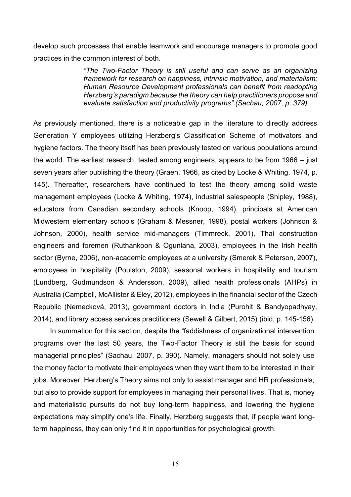develop such processes that enable teamwork and encourage managers to promote good practices in the common interest of both.

> *"The Two-Factor Theory is still useful and can serve as an organizing framework for research on happiness, intrinsic motivation, and materialism; Human Resource Development professionals can benefit from readopting Herzberg's paradigm because the theory can help practitioners propose and evaluate satisfaction and productivity programs" (Sachau, 2007, p. 379).*

As previously mentioned, there is a noticeable gap in the literature to directly address Generation Y employees utilizing Herzberg's Classification Scheme of motivators and hygiene factors. The theory itself has been previously tested on various populations around the world. The earliest research, tested among engineers, appears to be from 1966 – just seven years after publishing the theory (Graen, 1966, as cited by Locke & Whiting, 1974, p. 145). Thereafter, researchers have continued to test the theory among solid waste management employees (Locke & Whiting, 1974), industrial salespeople (Shipley, 1988), educators from Canadian secondary schools (Knoop, 1994), principals at American Midwestern elementary schools (Graham & Messner, 1998), postal workers (Johnson & Johnson, 2000), health service mid-managers (Timmreck, 2001), Thai construction engineers and foremen (Ruthankoon & Ogunlana, 2003), employees in the Irish health sector (Byrne, 2006), non-academic employees at a university (Smerek & Peterson, 2007), employees in hospitality (Poulston, 2009), seasonal workers in hospitality and tourism (Lundberg, Gudmundson & Andersson, 2009), allied health professionals (AHPs) in Australia (Campbell, McAllister & Eley, 2012), employees in the financial sector of the Czech Republic (Nemecková, 2013), government doctors in India (Purohit & Bandyopadhyay, 2014), and library access services practitioners (Sewell & Gilbert, 2015) (ibid, p. 145-156).

In summation for this section, despite the "faddishness of organizational intervention programs over the last 50 years, the Two-Factor Theory is still the basis for sound managerial principles" (Sachau, 2007*,* p. 390). Namely, managers should not solely use the money factor to motivate their employees when they want them to be interested in their jobs. Moreover, Herzberg's Theory aims not only to assist manager and HR professionals, but also to provide support for employees in managing their personal lives. That is, money and materialistic pursuits do not buy long-term happiness, and lowering the hygiene expectations may simplify one's life. Finally, Herzberg suggests that, if people want longterm happiness, they can only find it in opportunities for psychological growth.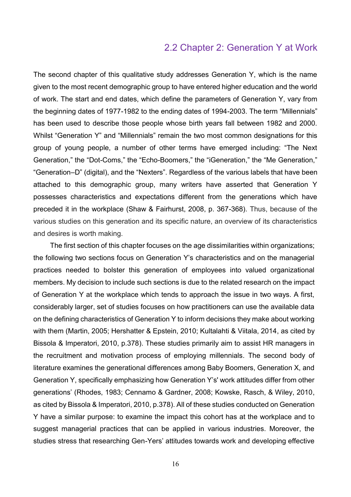#### 2.2 Chapter 2: Generation Y at Work

The second chapter of this qualitative study addresses Generation Y, which is the name given to the most recent demographic group to have entered higher education and the world of work. The start and end dates, which define the parameters of Generation Y, vary from the beginning dates of 1977-1982 to the ending dates of 1994-2003. The term "Millennials" has been used to describe those people whose birth years fall between 1982 and 2000. Whilst "Generation Y" and "Millennials" remain the two most common designations for this group of young people, a number of other terms have emerged including: "The Next Generation," the "Dot-Coms," the "Echo-Boomers," the "iGeneration," the "Me Generation," "Generation–D" (digital), and the "Nexters". Regardless of the various labels that have been attached to this demographic group, many writers have asserted that Generation Y possesses characteristics and expectations different from the generations which have preceded it in the workplace (Shaw & Fairhurst, 2008, p. 367-368). Thus, because of the various studies on this generation and its specific nature, an overview of its characteristics and desires is worth making.

The first section of this chapter focuses on the age dissimilarities within organizations; the following two sections focus on Generation Y's characteristics and on the managerial practices needed to bolster this generation of employees into valued organizational members. My decision to include such sections is due to the related research on the impact of Generation Y at the workplace which tends to approach the issue in two ways. A first, considerably larger, set of studies focuses on how practitioners can use the available data on the defining characteristics of Generation Y to inform decisions they make about working with them (Martin, 2005; Hershatter & Epstein, 2010; Kultalahti & Viitala, 2014, as cited by Bissola & Imperatori, 2010, p.378). These studies primarily aim to assist HR managers in the recruitment and motivation process of employing millennials. The second body of literature examines the generational differences among Baby Boomers, Generation X, and Generation Y, specifically emphasizing how Generation Y's' work attitudes differ from other generations' (Rhodes, 1983; Cennamo & Gardner, 2008; Kowske, Rasch, & Wiley, 2010, as cited by Bissola & Imperatori, 2010, p.378). All of these studies conducted on Generation Y have a similar purpose: to examine the impact this cohort has at the workplace and to suggest managerial practices that can be applied in various industries. Moreover, the studies stress that researching Gen-Yers' attitudes towards work and developing effective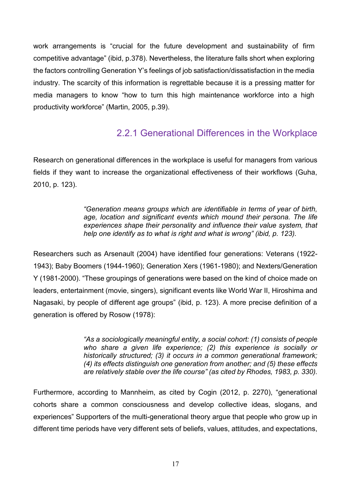work arrangements is "crucial for the future development and sustainability of firm competitive advantage" (ibid, p.378). Nevertheless, the literature falls short when exploring the factors controlling Generation Y's feelings of job satisfaction/dissatisfaction in the media industry. The scarcity of this information is regrettable because it is a pressing matter for media managers to know "how to turn this high maintenance workforce into a high productivity workforce" (Martin, 2005, p.39).

### 2.2.1 Generational Differences in the Workplace

Research on generational differences in the workplace is useful for managers from various fields if they want to increase the organizational effectiveness of their workflows (Guha, 2010, p. 123).

> *"Generation means groups which are identifiable in terms of year of birth,*  age, location and significant events which mound their persona. The life *experiences shape their personality and influence their value system, that help one identify as to what is right and what is wrong" (ibid, p. 123).*

Researchers such as Arsenault (2004) have identified four generations: Veterans (1922- 1943); Baby Boomers (1944-1960); Generation Xers (1961-1980); and Nexters/Generation Y (1981-2000). "These groupings of generations were based on the kind of choice made on leaders, entertainment (movie, singers), significant events like World War II, Hiroshima and Nagasaki, by people of different age groups" (ibid, p. 123). A more precise definition of a generation is offered by Rosow (1978):

> *"As a sociologically meaningful entity, a social cohort: (1) consists of people who share a given life experience; (2) this experience is socially or historically structured; (3) it occurs in a common generational framework; (4) its effects distinguish one generation from another; and (5) these effects are relatively stable over the life course" (as cited by Rhodes, 1983, p. 330).*

Furthermore, according to Mannheim, as cited by Cogin (2012, p. 2270), "generational cohorts share a common consciousness and develop collective ideas, slogans, and experiences" Supporters of the multi-generational theory argue that people who grow up in different time periods have very different sets of beliefs, values, attitudes, and expectations,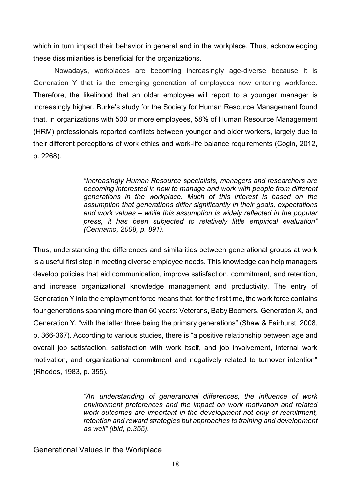which in turn impact their behavior in general and in the workplace. Thus, acknowledging these dissimilarities is beneficial for the organizations.

Nowadays, workplaces are becoming increasingly age-diverse because it is Generation Y that is the emerging generation of employees now entering workforce. Therefore, the likelihood that an older employee will report to a younger manager is increasingly higher. Burke's study for the Society for Human Resource Management found that, in organizations with 500 or more employees, 58% of Human Resource Management (HRM) professionals reported conflicts between younger and older workers, largely due to their different perceptions of work ethics and work-life balance requirements (Cogin, 2012, p. 2268).

> *"Increasingly Human Resource specialists, managers and researchers are becoming interested in how to manage and work with people from different generations in the workplace. Much of this interest is based on the assumption that generations differ significantly in their goals, expectations and work values – while this assumption is widely reflected in the popular press, it has been subjected to relatively little empirical evaluation" (Cennamo, 2008, p. 891).*

Thus, understanding the differences and similarities between generational groups at work is a useful first step in meeting diverse employee needs. This knowledge can help managers develop policies that aid communication, improve satisfaction, commitment, and retention, and increase organizational knowledge management and productivity. The entry of Generation Y into the employment force means that, for the first time, the work force contains four generations spanning more than 60 years: Veterans, Baby Boomers, Generation X, and Generation Y, "with the latter three being the primary generations" (Shaw & Fairhurst, 2008, p. 366-367). According to various studies, there is "a positive relationship between age and overall job satisfaction, satisfaction with work itself, and job involvement, internal work motivation, and organizational commitment and negatively related to turnover intention" (Rhodes, 1983, p. 355).

> *"An understanding of generational differences, the influence of work environment preferences and the impact on work motivation and related work outcomes are important in the development not only of recruitment, retention and reward strategies but approaches to training and development as well" (ibid, p.355).*

Generational Values in the Workplace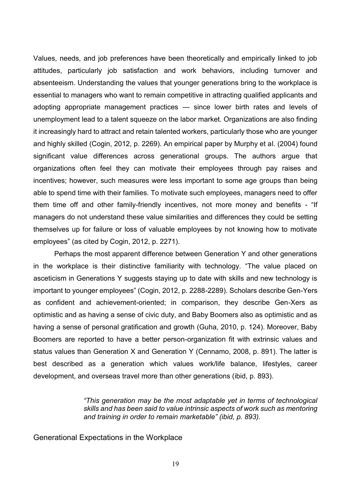Values, needs, and job preferences have been theoretically and empirically linked to job attitudes, particularly job satisfaction and work behaviors, including turnover and absenteeism. Understanding the values that younger generations bring to the workplace is essential to managers who want to remain competitive in attracting qualified applicants and adopting appropriate management practices — since lower birth rates and levels of unemployment lead to a talent squeeze on the labor market. Organizations are also finding it increasingly hard to attract and retain talented workers, particularly those who are younger and highly skilled (Cogin, 2012, p. 2269). An empirical paper by Murphy et al. (2004) found significant value differences across generational groups. The authors argue that organizations often feel they can motivate their employees through pay raises and incentives; however, such measures were less important to some age groups than being able to spend time with their families. To motivate such employees, managers need to offer them time off and other family-friendly incentives, not more money and benefits - "If managers do not understand these value similarities and differences they could be setting themselves up for failure or loss of valuable employees by not knowing how to motivate employees" (as cited by Cogin, 2012, p. 2271).

Perhaps the most apparent difference between Generation Y and other generations in the workplace is their distinctive familiarity with technology. "The value placed on asceticism in Generations Y suggests staying up to date with skills and new technology is important to younger employees" (Cogin, 2012, p. 2288-2289). Scholars describe Gen-Yers as confident and achievement-oriented; in comparison, they describe Gen-Xers as optimistic and as having a sense of civic duty, and Baby Boomers also as optimistic and as having a sense of personal gratification and growth (Guha, 2010, p. 124). Moreover, Baby Boomers are reported to have a better person-organization fit with extrinsic values and status values than Generation X and Generation Y (Cennamo, 2008, p. 891). The latter is best described as a generation which values work/life balance, lifestyles, career development, and overseas travel more than other generations (ibid, p. 893).

> *"This generation may be the most adaptable yet in terms of technological skills and has been said to value intrinsic aspects of work such as mentoring and training in order to remain marketable" (ibid, p. 893).*

Generational Expectations in the Workplace

19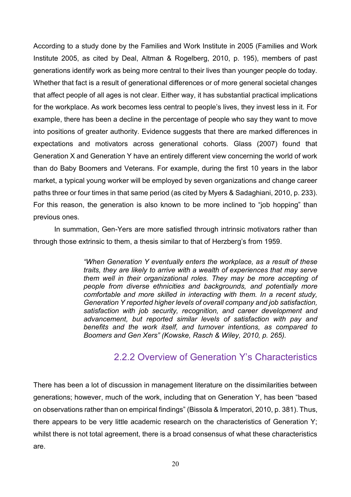According to a study done by the Families and Work Institute in 2005 (Families and Work Institute 2005, as cited by Deal, Altman & Rogelberg, 2010, p. 195), members of past generations identify work as being more central to their lives than younger people do today. Whether that fact is a result of generational differences or of more general societal changes that affect people of all ages is not clear. Either way, it has substantial practical implications for the workplace. As work becomes less central to people's lives, they invest less in it. For example, there has been a decline in the percentage of people who say they want to move into positions of greater authority. Evidence suggests that there are marked differences in expectations and motivators across generational cohorts. Glass (2007) found that Generation X and Generation Y have an entirely different view concerning the world of work than do Baby Boomers and Veterans. For example, during the first 10 years in the labor market, a typical young worker will be employed by seven organizations and change career paths three or four times in that same period (as cited by Myers & Sadaghiani, 2010, p. 233). For this reason, the generation is also known to be more inclined to "job hopping" than previous ones.

In summation, Gen-Yers are more satisfied through intrinsic motivators rather than through those extrinsic to them, a thesis similar to that of Herzberg's from 1959.

> *"When Generation Y eventually enters the workplace, as a result of these traits, they are likely to arrive with a wealth of experiences that may serve them well in their organizational roles. They may be more accepting of people from diverse ethnicities and backgrounds, and potentially more comfortable and more skilled in interacting with them. In a recent study, Generation Y reported higher levels of overall company and job satisfaction, satisfaction with job security, recognition, and career development and advancement, but reported similar levels of satisfaction with pay and benefits and the work itself, and turnover intentions, as compared to Boomers and Gen Xers" (Kowske, Rasch & Wiley, 2010, p. 265).*

### 2.2.2 Overview of Generation Y's Characteristics

There has been a lot of discussion in management literature on the dissimilarities between generations; however, much of the work, including that on Generation Y, has been "based on observations rather than on empirical findings" (Bissola & Imperatori, 2010, p. 381). Thus, there appears to be very little academic research on the characteristics of Generation Y; whilst there is not total agreement, there is a broad consensus of what these characteristics are.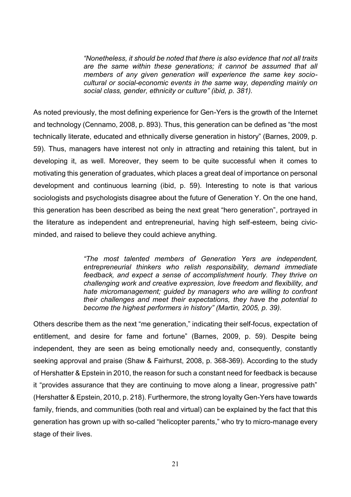*"Nonetheless, it should be noted that there is also evidence that not all traits are the same within these generations; it cannot be assumed that all members of any given generation will experience the same key sociocultural or social-economic events in the same way, depending mainly on social class, gender, ethnicity or culture" (ibid, p. 381).*

As noted previously, the most defining experience for Gen-Yers is the growth of the Internet and technology (Cennamo, 2008, p. 893). Thus, this generation can be defined as "the most technically literate, educated and ethnically diverse generation in history" (Barnes, 2009, p. 59). Thus, managers have interest not only in attracting and retaining this talent, but in developing it, as well. Moreover, they seem to be quite successful when it comes to motivating this generation of graduates, which places a great deal of importance on personal development and continuous learning (ibid, p. 59). Interesting to note is that various sociologists and psychologists disagree about the future of Generation Y. On the one hand, this generation has been described as being the next great "hero generation", portrayed in the literature as independent and entrepreneurial, having high self-esteem, being civicminded, and raised to believe they could achieve anything.

> *"The most talented members of Generation Yers are independent, entrepreneurial thinkers who relish responsibility, demand immediate feedback, and expect a sense of accomplishment hourly. They thrive on challenging work and creative expression, love freedom and flexibility, and hate micromanagement; guided by managers who are willing to confront their challenges and meet their expectations, they have the potential to become the highest performers in history" (Martin, 2005, p. 39).*

Others describe them as the next "me generation," indicating their self-focus, expectation of entitlement, and desire for fame and fortune" (Barnes, 2009, p. 59). Despite being independent, they are seen as being emotionally needy and, consequently, constantly seeking approval and praise (Shaw & Fairhurst, 2008, p. 368-369). According to the study of Hershatter & Epstein in 2010, the reason for such a constant need for feedback is because it "provides assurance that they are continuing to move along a linear, progressive path" (Hershatter & Epstein, 2010, p. 218). Furthermore, the strong loyalty Gen-Yers have towards family, friends, and communities (both real and virtual) can be explained by the fact that this generation has grown up with so-called "helicopter parents," who try to micro-manage every stage of their lives.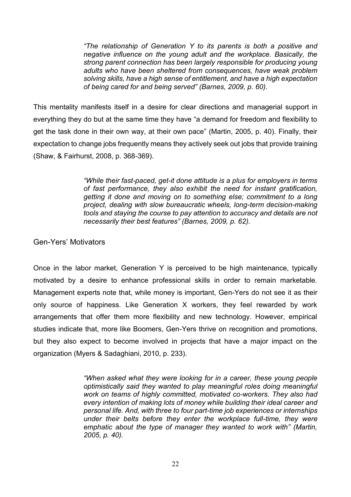*"The relationship of Generation Y to its parents is both a positive and negative influence on the young adult and the workplace. Basically, the strong parent connection has been largely responsible for producing young adults who have been sheltered from consequences, have weak problem solving skills, have a high sense of entitlement, and have a high expectation of being cared for and being served" (Barnes, 2009, p. 60).* 

This mentality manifests itself in a desire for clear directions and managerial support in everything they do but at the same time they have "a demand for freedom and flexibility to get the task done in their own way, at their own pace" (Martin, 2005, p. 40). Finally, their expectation to change jobs frequently means they actively seek out jobs that provide training (Shaw, & Fairhurst, 2008, p. 368-369).

> *"While their fast-paced, get-it done attitude is a plus for employers in terms of fast performance, they also exhibit the need for instant gratification, getting it done and moving on to something else; commitment to a long project, dealing with slow bureaucratic wheels, long-term decision-making tools and staying the course to pay attention to accuracy and details are not necessarily their best features" (Barnes, 2009, p. 62).*

#### Gen-Yers' Motivators

Once in the labor market, Generation Y is perceived to be high maintenance, typically motivated by a desire to enhance professional skills in order to remain marketable. Management experts note that, while money is important, Gen-Yers do not see it as their only source of happiness. Like Generation X workers, they feel rewarded by work arrangements that offer them more flexibility and new technology. However, empirical studies indicate that, more like Boomers, Gen-Yers thrive on recognition and promotions, but they also expect to become involved in projects that have a major impact on the organization (Myers & Sadaghiani, 2010, p. 233).

> *"When asked what they were looking for in a career, these young people optimistically said they wanted to play meaningful roles doing meaningful work on teams of highly committed, motivated co-workers. They also had every intention of making lots of money while building their ideal career and personal life. And, with three to four part-time job experiences or internships under their belts before they enter the workplace full-time, they were emphatic about the type of manager they wanted to work with" (Martin, 2005, p. 40).*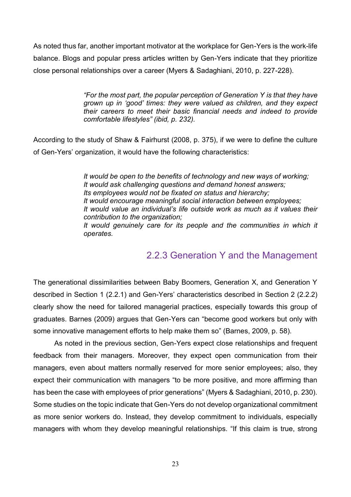As noted thus far, another important motivator at the workplace for Gen-Yers is the work-life balance. Blogs and popular press articles written by Gen-Yers indicate that they prioritize close personal relationships over a career (Myers & Sadaghiani, 2010, p. 227-228).

> *"For the most part, the popular perception of Generation Y is that they have grown up in 'good' times: they were valued as children, and they expect their careers to meet their basic financial needs and indeed to provide comfortable lifestyles" (ibid, p. 232).*

According to the study of Shaw & Fairhurst (2008, p. 375), if we were to define the culture of Gen-Yers' organization, it would have the following characteristics:

> *It would be open to the benefits of technology and new ways of working; It would ask challenging questions and demand honest answers; Its employees would not be fixated on status and hierarchy; It would encourage meaningful social interaction between employees; It would value an individual's life outside work as much as it values their contribution to the organization; It would genuinely care for its people and the communities in which it operates.*

### 2.2.3 Generation Y and the Management

The generational dissimilarities between Baby Boomers, Generation X, and Generation Y described in Section 1 (2.2.1) and Gen-Yers' characteristics described in Section 2 (2.2.2) clearly show the need for tailored managerial practices, especially towards this group of graduates. Barnes (2009) argues that Gen-Yers can "become good workers but only with some innovative management efforts to help make them so" (Barnes, 2009, p. 58).

As noted in the previous section, Gen-Yers expect close relationships and frequent feedback from their managers. Moreover, they expect open communication from their managers, even about matters normally reserved for more senior employees; also, they expect their communication with managers "to be more positive, and more affirming than has been the case with employees of prior generations" (Myers & Sadaghiani, 2010, p. 230). Some studies on the topic indicate that Gen-Yers do not develop organizational commitment as more senior workers do. Instead, they develop commitment to individuals, especially managers with whom they develop meaningful relationships. "If this claim is true, strong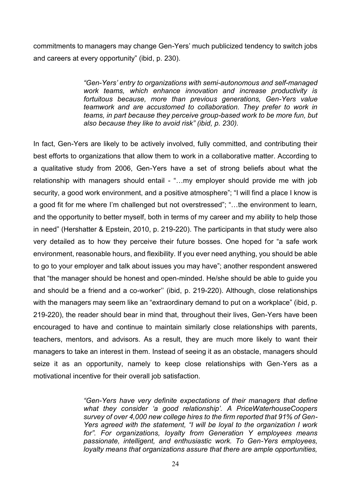commitments to managers may change Gen-Yers' much publicized tendency to switch jobs and careers at every opportunity" (ibid, p. 230).

> *"Gen-Yers' entry to organizations with semi-autonomous and self-managed work teams, which enhance innovation and increase productivity is fortuitous because, more than previous generations, Gen-Yers value teamwork and are accustomed to collaboration. They prefer to work in teams, in part because they perceive group-based work to be more fun, but also because they like to avoid risk" (ibid, p. 230).*

In fact, Gen-Yers are likely to be actively involved, fully committed, and contributing their best efforts to organizations that allow them to work in a collaborative matter. According to a qualitative study from 2006, Gen-Yers have a set of strong beliefs about what the relationship with managers should entail - "…my employer should provide me with job security, a good work environment, and a positive atmosphere"; "I will find a place I know is a good fit for me where I'm challenged but not overstressed"; "…the environment to learn, and the opportunity to better myself, both in terms of my career and my ability to help those in need" (Hershatter & Epstein, 2010, p. 219-220). The participants in that study were also very detailed as to how they perceive their future bosses. One hoped for "a safe work environment, reasonable hours, and flexibility. If you ever need anything, you should be able to go to your employer and talk about issues you may have"; another respondent answered that "the manager should be honest and open-minded. He/she should be able to guide you and should be a friend and a co-worker'' (ibid, p. 219-220). Although, close relationships with the managers may seem like an "extraordinary demand to put on a workplace" (ibid, p. 219-220), the reader should bear in mind that, throughout their lives, Gen-Yers have been encouraged to have and continue to maintain similarly close relationships with parents, teachers, mentors, and advisors. As a result, they are much more likely to want their managers to take an interest in them. Instead of seeing it as an obstacle, managers should seize it as an opportunity, namely to keep close relationships with Gen-Yers as a motivational incentive for their overall job satisfaction.

> *"Gen-Yers have very definite expectations of their managers that define what they consider 'a good relationship'. A PriceWaterhouseCoopers survey of over 4,000 new college hires to the firm reported that 91% of Gen-Yers agreed with the statement, "I will be loyal to the organization I work for". For organizations, loyalty from Generation Y employees means passionate, intelligent, and enthusiastic work. To Gen-Yers employees, loyalty means that organizations assure that there are ample opportunities,*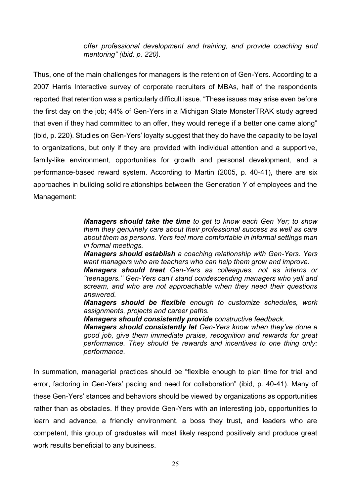*offer professional development and training, and provide coaching and mentoring" (ibid, p. 220).*

Thus, one of the main challenges for managers is the retention of Gen-Yers. According to a 2007 Harris Interactive survey of corporate recruiters of MBAs, half of the respondents reported that retention was a particularly difficult issue. "These issues may arise even before the first day on the job; 44% of Gen-Yers in a Michigan State MonsterTRAK study agreed that even if they had committed to an offer, they would renege if a better one came along" (ibid, p. 220). Studies on Gen-Yers' loyalty suggest that they do have the capacity to be loyal to organizations, but only if they are provided with individual attention and a supportive, family-like environment, opportunities for growth and personal development, and a performance-based reward system. According to Martin (2005, p. 40-41), there are six approaches in building solid relationships between the Generation Y of employees and the Management:

> *Managers should take the time to get to know each Gen Yer; to show them they genuinely care about their professional success as well as care about them as persons. Yers feel more comfortable in informal settings than in formal meetings.*

> *Managers should establish a coaching relationship with Gen-Yers. Yers want managers who are teachers who can help them grow and improve.*

> *Managers should treat Gen-Yers as colleagues, not as interns or ''teenagers.'' Gen-Yers can't stand condescending managers who yell and scream, and who are not approachable when they need their questions answered.*

> *Managers should be flexible enough to customize schedules, work assignments, projects and career paths.*

*Managers should consistently provide constructive feedback.*

*Managers should consistently let Gen-Yers know when they've done a good job, give them immediate praise, recognition and rewards for great performance. They should tie rewards and incentives to one thing only: performance.* 

In summation, managerial practices should be "flexible enough to plan time for trial and error, factoring in Gen-Yers' pacing and need for collaboration" (ibid, p. 40-41). Many of these Gen-Yers' stances and behaviors should be viewed by organizations as opportunities rather than as obstacles. If they provide Gen-Yers with an interesting job, opportunities to learn and advance, a friendly environment, a boss they trust, and leaders who are competent, this group of graduates will most likely respond positively and produce great work results beneficial to any business.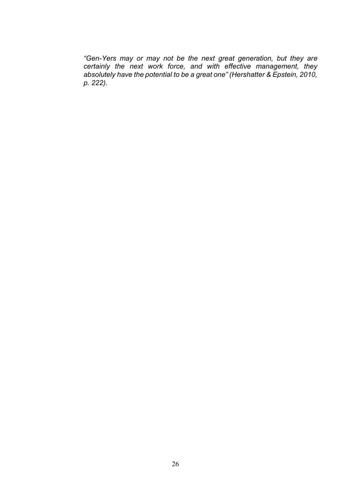*"Gen-Yers may or may not be the next great generation, but they are certainly the next work force, and with effective management, they absolutely have the potential to be a great one" (Hershatter & Epstein, 2010, p. 222).*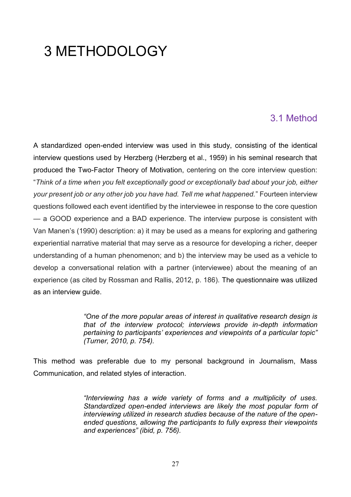# 3 METHODOLOGY

### 3.1 Method

A standardized open-ended interview was used in this study, consisting of the identical interview questions used by Herzberg (Herzberg et al., 1959) in his seminal research that produced the Two-Factor Theory of Motivation, centering on the core interview question: "*Think of a time when you felt exceptionally good or exceptionally bad about your job, either your present job or any other job you have had. Tell me what happened.*" Fourteen interview questions followed each event identified by the interviewee in response to the core question — a GOOD experience and a BAD experience. The interview purpose is consistent with Van Manen's (1990) description: a) it may be used as a means for exploring and gathering experiential narrative material that may serve as a resource for developing a richer, deeper understanding of a human phenomenon; and b) the interview may be used as a vehicle to develop a conversational relation with a partner (interviewee) about the meaning of an experience (as cited by Rossman and Rallis, 2012, p. 186). The questionnaire was utilized as an interview guide.

> *"One of the more popular areas of interest in qualitative research design is that of the interview protocol; interviews provide in-depth information pertaining to participants' experiences and viewpoints of a particular topic" (Turner, 2010, p. 754).*

This method was preferable due to my personal background in Journalism, Mass Communication, and related styles of interaction.

> *"Interviewing has a wide variety of forms and a multiplicity of uses. Standardized open-ended interviews are likely the most popular form of interviewing utilized in research studies because of the nature of the openended questions, allowing the participants to fully express their viewpoints and experiences" (ibid, p. 756).*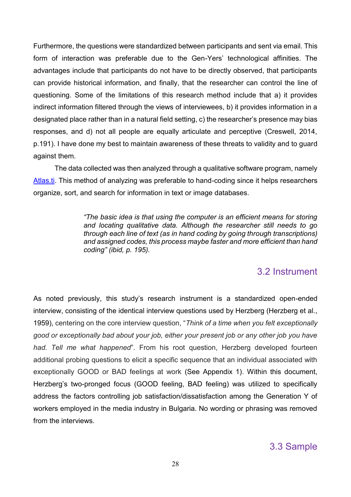Furthermore, the questions were standardized between participants and sent via email. This form of interaction was preferable due to the Gen-Yers' technological affinities. The advantages include that participants do not have to be directly observed, that participants can provide historical information, and finally, that the researcher can control the line of questioning. Some of the limitations of this research method include that a) it provides indirect information filtered through the views of interviewees, b) it provides information in a designated place rather than in a natural field setting, c) the researcher's presence may bias responses, and d) not all people are equally articulate and perceptive (Creswell, 2014, p.191). I have done my best to maintain awareness of these threats to validity and to guard against them.

The data collected was then analyzed through a qualitative software program, namely [Atlas.ti.](https://atlasti.com/) This method of analyzing was preferable to hand-coding since it helps researchers organize, sort, and search for information in text or image databases.

> *"The basic idea is that using the computer is an efficient means for storing and locating qualitative data. Although the researcher still needs to go through each line of text (as in hand coding by going through transcriptions) and assigned codes, this process maybe faster and more efficient than hand coding" (ibid, p. 195).*

#### 3.2 Instrument

As noted previously, this study's research instrument is a standardized open-ended interview, consisting of the identical interview questions used by Herzberg (Herzberg et al., 1959), centering on the core interview question, "*Think of a time when you felt exceptionally good or exceptionally bad about your job, either your present job or any other job you have had. Tell me what happened*". From his root question, Herzberg developed fourteen additional probing questions to elicit a specific sequence that an individual associated with exceptionally GOOD or BAD feelings at work (See Appendix 1). Within this document, Herzberg's two-pronged focus (GOOD feeling, BAD feeling) was utilized to specifically address the factors controlling job satisfaction/dissatisfaction among the Generation Y of workers employed in the media industry in Bulgaria. No wording or phrasing was removed from the interviews.

### 3.3 Sample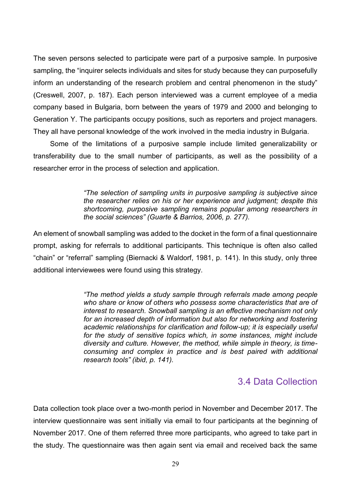The seven persons selected to participate were part of a purposive sample. In purposive sampling, the "inquirer selects individuals and sites for study because they can purposefully inform an understanding of the research problem and central phenomenon in the study" (Creswell, 2007, p. 187). Each person interviewed was a current employee of a media company based in Bulgaria, born between the years of 1979 and 2000 and belonging to Generation Y. The participants occupy positions, such as reporters and project managers. They all have personal knowledge of the work involved in the media industry in Bulgaria.

Some of the limitations of a purposive sample include limited generalizability or transferability due to the small number of participants, as well as the possibility of a researcher error in the process of selection and application.

> *"The selection of sampling units in purposive sampling is subjective since the researcher relies on his or her experience and judgment; despite this shortcoming, purposive sampling remains popular among researchers in the social sciences" (Guarte & Barrios, 2006, p. 277).*

An element of snowball sampling was added to the docket in the form of a final questionnaire prompt, asking for referrals to additional participants. This technique is often also called "chain" or "referral" sampling (Biernacki & Waldorf, 1981, p. 141). In this study, only three additional interviewees were found using this strategy.

> *"The method yields a study sample through referrals made among people who share or know of others who possess some characteristics that are of interest to research. Snowball sampling is an effective mechanism not only for an increased depth of information but also for networking and fostering academic relationships for clarification and follow-up; it is especially useful for the study of sensitive topics which, in some instances, might include diversity and culture. However, the method, while simple in theory, is timeconsuming and complex in practice and is best paired with additional research tools" (ibid, p. 141).*

#### 3.4 Data Collection

Data collection took place over a two-month period in November and December 2017. The interview questionnaire was sent initially via email to four participants at the beginning of November 2017. One of them referred three more participants, who agreed to take part in the study. The questionnaire was then again sent via email and received back the same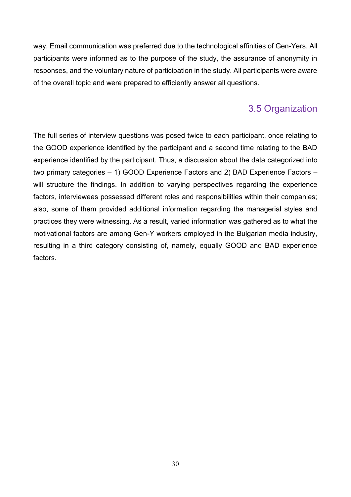way. Email communication was preferred due to the technological affinities of Gen-Yers. All participants were informed as to the purpose of the study, the assurance of anonymity in responses, and the voluntary nature of participation in the study. All participants were aware of the overall topic and were prepared to efficiently answer all questions.

### 3.5 Organization

The full series of interview questions was posed twice to each participant, once relating to the GOOD experience identified by the participant and a second time relating to the BAD experience identified by the participant. Thus, a discussion about the data categorized into two primary categories – 1) GOOD Experience Factors and 2) BAD Experience Factors – will structure the findings. In addition to varying perspectives regarding the experience factors, interviewees possessed different roles and responsibilities within their companies; also, some of them provided additional information regarding the managerial styles and practices they were witnessing. As a result, varied information was gathered as to what the motivational factors are among Gen-Y workers employed in the Bulgarian media industry, resulting in a third category consisting of, namely, equally GOOD and BAD experience factors.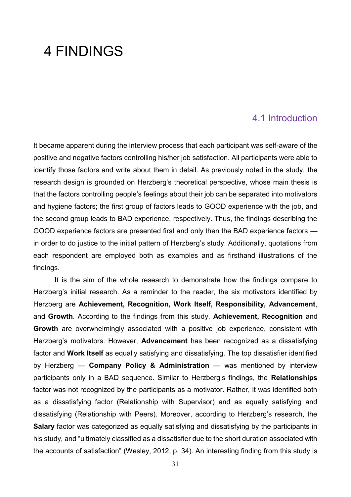# 4 FINDINGS

#### 4.1 Introduction

It became apparent during the interview process that each participant was self-aware of the positive and negative factors controlling his/her job satisfaction. All participants were able to identify those factors and write about them in detail. As previously noted in the study, the research design is grounded on Herzberg's theoretical perspective, whose main thesis is that the factors controlling people's feelings about their job can be separated into motivators and hygiene factors; the first group of factors leads to GOOD experience with the job, and the second group leads to BAD experience, respectively. Thus, the findings describing the GOOD experience factors are presented first and only then the BAD experience factors in order to do justice to the initial pattern of Herzberg's study. Additionally, quotations from each respondent are employed both as examples and as firsthand illustrations of the findings.

It is the aim of the whole research to demonstrate how the findings compare to Herzberg's initial research. As a reminder to the reader, the six motivators identified by Herzberg are **Achievement, Recognition, Work Itself, Responsibility, Advancement**, and **Growth**. According to the findings from this study, **Achievement, Recognition** and **Growth** are overwhelmingly associated with a positive job experience, consistent with Herzberg's motivators. However, **Advancement** has been recognized as a dissatisfying factor and **Work Itself** as equally satisfying and dissatisfying. The top dissatisfier identified by Herzberg — **Company Policy & Administration** — was mentioned by interview participants only in a BAD sequence. Similar to Herzberg's findings, the **Relationships** factor was not recognized by the participants as a motivator. Rather, it was identified both as a dissatisfying factor (Relationship with Supervisor) and as equally satisfying and dissatisfying (Relationship with Peers). Moreover, according to Herzberg's research, the **Salary** factor was categorized as equally satisfying and dissatisfying by the participants in his study, and "ultimately classified as a dissatisfier due to the short duration associated with the accounts of satisfaction" (Wesley, 2012, p. 34). An interesting finding from this study is

31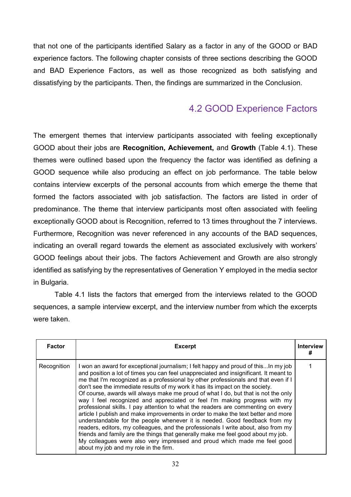that not one of the participants identified Salary as a factor in any of the GOOD or BAD experience factors. The following chapter consists of three sections describing the GOOD and BAD Experience Factors, as well as those recognized as both satisfying and dissatisfying by the participants. Then, the findings are summarized in the Conclusion.

# 4.2 GOOD Experience Factors

The emergent themes that interview participants associated with feeling exceptionally GOOD about their jobs are **Recognition, Achievement,** and **Growth** (Table 4.1). These themes were outlined based upon the frequency the factor was identified as defining a GOOD sequence while also producing an effect on job performance. The table below contains interview excerpts of the personal accounts from which emerge the theme that formed the factors associated with job satisfaction. The factors are listed in order of predominance. The theme that interview participants most often associated with feeling exceptionally GOOD about is Recognition, referred to 13 times throughout the 7 interviews. Furthermore, Recognition was never referenced in any accounts of the BAD sequences, indicating an overall regard towards the element as associated exclusively with workers' GOOD feelings about their jobs. The factors Achievement and Growth are also strongly identified as satisfying by the representatives of Generation Y employed in the media sector in Bulgaria.

Table 4.1 lists the factors that emerged from the interviews related to the GOOD sequences, a sample interview excerpt, and the interview number from which the excerpts were taken.

| <b>Factor</b> | <b>Excerpt</b>                                                                                                                                                                                                                                                                                                                                                                                                                                                                                                                                                                                                                                                                                                                                                                                                                                                                                                                                                                                                                                                             | <b>Interview</b><br># |
|---------------|----------------------------------------------------------------------------------------------------------------------------------------------------------------------------------------------------------------------------------------------------------------------------------------------------------------------------------------------------------------------------------------------------------------------------------------------------------------------------------------------------------------------------------------------------------------------------------------------------------------------------------------------------------------------------------------------------------------------------------------------------------------------------------------------------------------------------------------------------------------------------------------------------------------------------------------------------------------------------------------------------------------------------------------------------------------------------|-----------------------|
| Recognition   | I won an award for exceptional journalism; I felt happy and proud of thisIn my job<br>and position a lot of times you can feel unappreciated and insignificant. It meant to<br>me that I'm recognized as a professional by other professionals and that even if I<br>don't see the immediate results of my work it has its impact on the society.<br>Of course, awards will always make me proud of what I do, but that is not the only<br>way I feel recognized and appreciated or feel I'm making progress with my<br>professional skills. I pay attention to what the readers are commenting on every<br>article I publish and make improvements in order to make the text better and more<br>understandable for the people whenever it is needed. Good feedback from my<br>readers, editors, my colleagues, and the professionals I write about, also from my<br>friends and family are the things that generally make me feel good about my job.<br>My colleagues were also very impressed and proud which made me feel good<br>about my job and my role in the firm. |                       |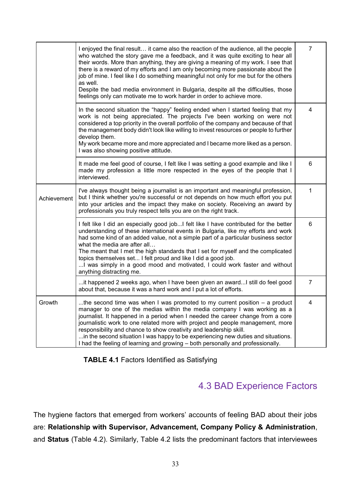|             | I enjoyed the final result it came also the reaction of the audience, all the people<br>who watched the story gave me a feedback, and it was quite exciting to hear all<br>their words. More than anything, they are giving a meaning of my work. I see that<br>there is a reward of my efforts and I am only becoming more passionate about the<br>job of mine. I feel like I do something meaningful not only for me but for the others<br>as well.<br>Despite the bad media environment in Bulgaria, despite all the difficulties, those<br>feelings only can motivate me to work harder in order to achieve more. | $\overline{7}$ |
|-------------|-----------------------------------------------------------------------------------------------------------------------------------------------------------------------------------------------------------------------------------------------------------------------------------------------------------------------------------------------------------------------------------------------------------------------------------------------------------------------------------------------------------------------------------------------------------------------------------------------------------------------|----------------|
|             | In the second situation the "happy" feeling ended when I started feeling that my<br>work is not being appreciated. The projects I've been working on were not<br>considered a top priority in the overall portfolio of the company and because of that<br>the management body didn't look like willing to invest resources or people to further<br>develop them.<br>My work became more and more appreciated and I became more liked as a person.<br>I was also showing positive attitude.                                                                                                                            | 4              |
|             | It made me feel good of course, I felt like I was setting a good example and like I<br>made my profession a little more respected in the eyes of the people that I<br>interviewed.                                                                                                                                                                                                                                                                                                                                                                                                                                    | $6\phantom{1}$ |
| Achievement | I've always thought being a journalist is an important and meaningful profession,<br>but I think whether you're successful or not depends on how much effort you put<br>into your articles and the impact they make on society. Receiving an award by<br>professionals you truly respect tells you are on the right track.                                                                                                                                                                                                                                                                                            | 1              |
|             | I felt like I did an especially good jobI felt like I have contributed for the better<br>understanding of these international events in Bulgaria, like my efforts and work<br>had some kind of an added value, not a simple part of a particular business sector<br>what the media are after all<br>The meant that I met the high standards that I set for myself and the complicated<br>topics themselves set I felt proud and like I did a good job.<br>I was simply in a good mood and motivated, I could work faster and without<br>anything distracting me.                                                      | 6              |
|             | it happened 2 weeks ago, when I have been given an awardI still do feel good<br>about that, because it was a hard work and I put a lot of efforts.                                                                                                                                                                                                                                                                                                                                                                                                                                                                    | $\overline{7}$ |
| Growth      | the second time was when I was promoted to my current position – a product<br>manager to one of the medias within the media company I was working as a<br>journalist. It happened in a period when I needed the career change from a core<br>journalistic work to one related more with project and people management, more<br>responsibility and chance to show creativity and leadership skill.<br>in the second situation I was happy to be experiencing new duties and situations.<br>I had the feeling of learning and growing - both personally and professionally.                                             | 4              |

#### **TABLE 4.1** Factors Identified as Satisfying

# 4.3 BAD Experience Factors

The hygiene factors that emerged from workers' accounts of feeling BAD about their jobs are: **Relationship with Supervisor, Advancement, Company Policy & Administration**, and **Status** (Table 4.2). Similarly, Table 4.2 lists the predominant factors that interviewees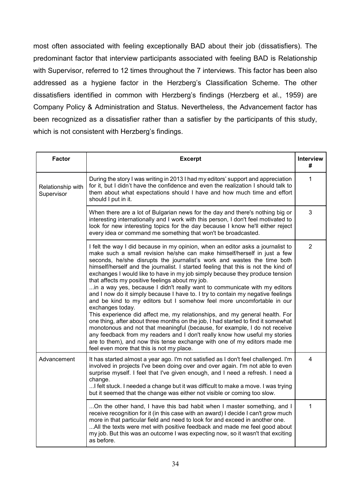most often associated with feeling exceptionally BAD about their job (dissatisfiers). The predominant factor that interview participants associated with feeling BAD is Relationship with Supervisor, referred to 12 times throughout the 7 interviews. This factor has been also addressed as a hygiene factor in the Herzberg's Classification Scheme. The other dissatisfiers identified in common with Herzberg's findings (Herzberg et al., 1959) are Company Policy & Administration and Status. Nevertheless, the Advancement factor has been recognized as a dissatisfier rather than a satisfier by the participants of this study, which is not consistent with Herzberg's findings.

| <b>Factor</b>                   | <b>Excerpt</b>                                                                                                                                                                                                                                                                                                                                                                                                                                                                                                                                                                                                                                                                                                                                                                                                                                                                                                                                                                                                                                                                                                                                                                         | <b>Interview</b><br># |
|---------------------------------|----------------------------------------------------------------------------------------------------------------------------------------------------------------------------------------------------------------------------------------------------------------------------------------------------------------------------------------------------------------------------------------------------------------------------------------------------------------------------------------------------------------------------------------------------------------------------------------------------------------------------------------------------------------------------------------------------------------------------------------------------------------------------------------------------------------------------------------------------------------------------------------------------------------------------------------------------------------------------------------------------------------------------------------------------------------------------------------------------------------------------------------------------------------------------------------|-----------------------|
| Relationship with<br>Supervisor | During the story I was writing in 2013 I had my editors' support and appreciation<br>for it, but I didn't have the confidence and even the realization I should talk to<br>them about what expectations should I have and how much time and effort<br>should I put in it.                                                                                                                                                                                                                                                                                                                                                                                                                                                                                                                                                                                                                                                                                                                                                                                                                                                                                                              | 1                     |
|                                 | When there are a lot of Bulgarian news for the day and there's nothing big or<br>interesting internationally and I work with this person, I don't feel motivated to<br>look for new interesting topics for the day because I know he'll either reject<br>every idea or command me something that won't be broadcasted.                                                                                                                                                                                                                                                                                                                                                                                                                                                                                                                                                                                                                                                                                                                                                                                                                                                                 | 3                     |
|                                 | I felt the way I did because in my opinion, when an editor asks a journalist to<br>make such a small revision he/she can make himself/herself in just a few<br>seconds, he/she disrupts the journalist's work and wastes the time both<br>himself/herself and the journalist. I started feeling that this is not the kind of<br>exchanges I would like to have in my job simply because they produce tension<br>that affects my positive feelings about my job.<br>in a way yes, because I didn't really want to communicate with my editors<br>and I now do it simply because I have to. I try to contain my negative feelings<br>and be kind to my editors but I somehow feel more uncomfortable in our<br>exchanges today.<br>This experience did affect me, my relationships, and my general health. For<br>one thing, after about three months on the job, I had started to find it somewhat<br>monotonous and not that meaningful (because, for example, I do not receive<br>any feedback from my readers and I don't really know how useful my stories<br>are to them), and now this tense exchange with one of my editors made me<br>feel even more that this is not my place. | 2                     |
| Advancement                     | It has started almost a year ago. I'm not satisfied as I don't feel challenged. I'm<br>involved in projects I've been doing over and over again. I'm not able to even<br>surprise myself. I feel that I've given enough, and I need a refresh. I need a<br>change.<br>I felt stuck. I needed a change but it was difficult to make a move. I was trying<br>but it seemed that the change was either not visible or coming too slow.                                                                                                                                                                                                                                                                                                                                                                                                                                                                                                                                                                                                                                                                                                                                                    | 4                     |
|                                 | On the other hand, I have this bad habit when I master something, and I<br>receive recognition for it (in this case with an award) I decide I can't grow much<br>more in that particular field and need to look for and exceed in another one.<br>All the texts were met with positive feedback and made me feel good about<br>my job. But this was an outcome I was expecting now, so it wasn't that exciting<br>as before.                                                                                                                                                                                                                                                                                                                                                                                                                                                                                                                                                                                                                                                                                                                                                           | 1                     |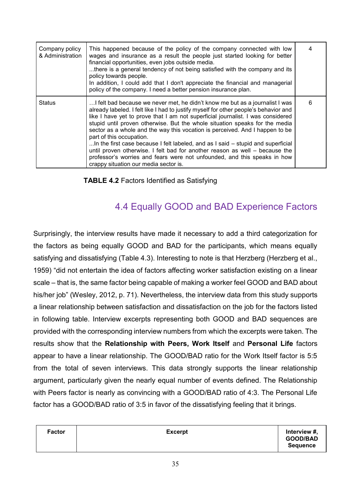| Company policy<br>& Administration | This happened because of the policy of the company connected with low<br>wages and insurance as a result the people just started looking for better<br>financial opportunities, even jobs outside media.<br>there is a general tendency of not being satisfied with the company and its<br>policy towards people.<br>In addition, I could add that I don't appreciate the financial and managerial<br>policy of the company. I need a better pension insurance plan.                                                                                                                                                                                                                                                                       |   |
|------------------------------------|--------------------------------------------------------------------------------------------------------------------------------------------------------------------------------------------------------------------------------------------------------------------------------------------------------------------------------------------------------------------------------------------------------------------------------------------------------------------------------------------------------------------------------------------------------------------------------------------------------------------------------------------------------------------------------------------------------------------------------------------|---|
| <b>Status</b>                      | I felt bad because we never met, he didn't know me but as a journalist I was<br>already labeled. I felt like I had to justify myself for other people's behavior and<br>like I have yet to prove that I am not superficial journalist. I was considered<br>stupid until proven otherwise. But the whole situation speaks for the media<br>sector as a whole and the way this vocation is perceived. And I happen to be<br>part of this occupation.<br>In the first case because I felt labeled, and as I said – stupid and superficial<br>until proven otherwise. I felt bad for another reason as well - because the<br>professor's worries and fears were not unfounded, and this speaks in how<br>crappy situation our media sector is. | 6 |

**TABLE 4.2** Factors Identified as Satisfying

# 4.4 Equally GOOD and BAD Experience Factors

Surprisingly, the interview results have made it necessary to add a third categorization for the factors as being equally GOOD and BAD for the participants, which means equally satisfying and dissatisfying (Table 4.3). Interesting to note is that Herzberg (Herzberg et al., 1959) "did not entertain the idea of factors affecting worker satisfaction existing on a linear scale – that is, the same factor being capable of making a worker feel GOOD and BAD about his/her job" (Wesley, 2012, p. 71). Nevertheless, the interview data from this study supports a linear relationship between satisfaction and dissatisfaction on the job for the factors listed in following table. Interview excerpts representing both GOOD and BAD sequences are provided with the corresponding interview numbers from which the excerpts were taken. The results show that the **Relationship with Peers, Work Itself** and **Personal Life** factors appear to have a linear relationship. The GOOD/BAD ratio for the Work Itself factor is 5:5 from the total of seven interviews. This data strongly supports the linear relationship argument, particularly given the nearly equal number of events defined. The Relationship with Peers factor is nearly as convincing with a GOOD/BAD ratio of 4:3. The Personal Life factor has a GOOD/BAD ratio of 3:5 in favor of the dissatisfying feeling that it brings.

| <b>Factor</b><br><b>Excerpt</b> | Interview #,<br><b>GOOD/BAD</b><br><b>Sequence</b> |
|---------------------------------|----------------------------------------------------|
|---------------------------------|----------------------------------------------------|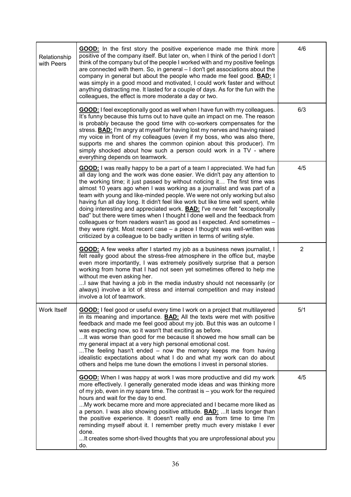| Relationship<br>with Peers | <b>GOOD:</b> In the first story the positive experience made me think more<br>positive of the company itself. But later on, when I think of the period I don't<br>think of the company but of the people I worked with and my positive feelings<br>are connected with them. So, in general - I don't get associations about the<br>company in general but about the people who made me feel good. <b>BAD:</b> I<br>was simply in a good mood and motivated, I could work faster and without<br>anything distracting me. It lasted for a couple of days. As for the fun with the<br>colleagues, the effect is more moderate a day or two.                                                                                                                                                                                                                                                            | 4/6            |
|----------------------------|-----------------------------------------------------------------------------------------------------------------------------------------------------------------------------------------------------------------------------------------------------------------------------------------------------------------------------------------------------------------------------------------------------------------------------------------------------------------------------------------------------------------------------------------------------------------------------------------------------------------------------------------------------------------------------------------------------------------------------------------------------------------------------------------------------------------------------------------------------------------------------------------------------|----------------|
|                            | <b>GOOD:</b> I feel exceptionally good as well when I have fun with my colleagues.<br>It's funny because this turns out to have quite an impact on me. The reason<br>is probably because the good time with co-workers compensates for the<br>stress. <b>BAD:</b> I'm angry at myself for having lost my nerves and having raised<br>my voice in front of my colleagues (even if my boss, who was also there,<br>supports me and shares the common opinion about this producer). I'm<br>simply shocked about how such a person could work in a TV - where<br>everything depends on teamwork.                                                                                                                                                                                                                                                                                                        | 6/3            |
|                            | <b>GOOD:</b> I was really happy to be a part of a team I appreciated. We had fun<br>all day long and the work was done easier. We didn't pay any attention to<br>the working time; it just passed by without noticing it The first time was<br>almost 10 years ago when I was working as a journalist and was part of a<br>team with young and like-minded people. We were not only working but also<br>having fun all day long. It didn't feel like work but like time well spent, while<br>doing interesting and appreciated work. <b>BAD:</b> I've never felt "exceptionally<br>bad" but there were times when I thought I done well and the feedback from<br>colleagues or from readers wasn't as good as I expected. And sometimes -<br>they were right. Most recent case - a piece I thought was well-written was<br>criticized by a colleague to be badly written in terms of writing style. | 4/5            |
|                            | <b>GOOD:</b> A few weeks after I started my job as a business news journalist, I<br>felt really good about the stress-free atmosphere in the office but, maybe<br>even more importantly, I was extremely positively surprise that a person<br>working from home that I had not seen yet sometimes offered to help me<br>without me even asking her.<br>I saw that having a job in the media industry should not necessarily (or<br>always) involve a lot of stress and internal competition and may instead<br>involve a lot of teamwork.                                                                                                                                                                                                                                                                                                                                                           | $\overline{2}$ |
| Work Itself                | GOOD: I feel good or useful every time I work on a project that multilayered<br>in its meaning and importance. <b>BAD:</b> All the texts were met with positive<br>feedback and made me feel good about my job. But this was an outcome I<br>was expecting now, so it wasn't that exciting as before.<br>It was worse than good for me because it showed me how small can be<br>my general impact at a very high personal emotional cost.<br>The feeling hasn't ended - now the memory keeps me from having<br>idealistic expectations about what I do and what my work can do about<br>others and helps me tune down the emotions I invest in personal stories.                                                                                                                                                                                                                                    | 5/1            |
|                            | <b>GOOD:</b> When I was happy at work I was more productive and did my work<br>more effectively. I generally generated mode ideas and was thinking more<br>of my job, even in my spare time. The contrast is - you work for the required<br>hours and wait for the day to end.<br>My work became more and more appreciated and I became more liked as<br>a person. I was also showing positive attitude. <b>BAD:</b> It lasts longer than<br>the positive experience. It doesn't really end as from time to time I'm<br>reminding myself about it. I remember pretty much every mistake I ever<br>done.<br>It creates some short-lived thoughts that you are unprofessional about you<br>do.                                                                                                                                                                                                        | 4/5            |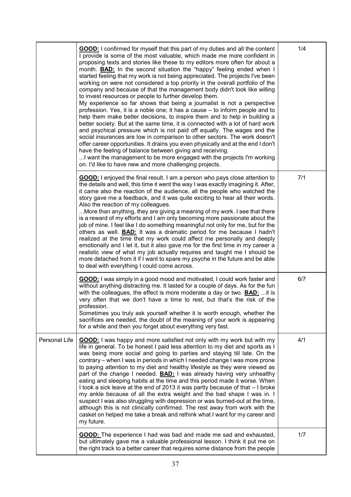|               | <b>GOOD:</b> I confirmed for myself that this part of my duties and all the content<br>I provide is some of the most valuable, which made me more confident in<br>proposing texts and stories like these to my editors more often for about a<br>month. <b>BAD:</b> In the second situation the "happy" feeling ended when I<br>started feeling that my work is not being appreciated. The projects I've been<br>working on were not considered a top priority in the overall portfolio of the<br>company and because of that the management body didn't look like willing<br>to invest resources or people to further develop them.<br>My experience so far shows that being a journalist is not a perspective<br>profession. Yes, it is a noble one; it has a cause - to inform people and to<br>help them make better decisions, to inspire them and to help in building a<br>better society. But at the same time, it is connected with a lot of hard work<br>and psychical pressure which is not paid off equally. The wages and the<br>social insurances are low in comparison to other sectors. The work doesn't<br>offer career opportunities. It drains you even physically and at the end I don't<br>have the feeling of balance between giving and receiving.<br>I want the management to be more engaged with the projects I'm working<br>on. I'd like to have new and more challenging projects. | 1/4 |
|---------------|---------------------------------------------------------------------------------------------------------------------------------------------------------------------------------------------------------------------------------------------------------------------------------------------------------------------------------------------------------------------------------------------------------------------------------------------------------------------------------------------------------------------------------------------------------------------------------------------------------------------------------------------------------------------------------------------------------------------------------------------------------------------------------------------------------------------------------------------------------------------------------------------------------------------------------------------------------------------------------------------------------------------------------------------------------------------------------------------------------------------------------------------------------------------------------------------------------------------------------------------------------------------------------------------------------------------------------------------------------------------------------------------------------------|-----|
|               | <b>GOOD:</b> I enjoyed the final result. I am a person who pays close attention to<br>the details and well, this time it went the way I was exactly imagining it. After,<br>it came also the reaction of the audience, all the people who watched the<br>story gave me a feedback, and it was quite exciting to hear all their words.<br>Also the reaction of my colleagues.<br>More than anything, they are giving a meaning of my work. I see that there<br>is a reward of my efforts and I am only becoming more passionate about the<br>job of mine. I feel like I do something meaningful not only for me, but for the<br>others as well. <b>BAD:</b> It was a dramatic period for me because I hadn't<br>realized at the time that my work could affect me personally and deeply<br>emotionally and I let it, but it also gave me for the first time in my career a<br>realistic view of what my job actually requires and taught me I should be<br>more detached from it if I want to spare my psyche in the future and be able<br>to deal with everything I could come across.                                                                                                                                                                                                                                                                                                                        | 7/1 |
|               | <b>GOOD:</b> I was simply in a good mood and motivated, I could work faster and<br>without anything distracting me. It lasted for a couple of days. As for the fun<br>with the colleagues, the effect is more moderate a day or two. <b>BAD:</b> it is<br>very often that we don't have a time to rest, but that's the risk of the<br>profession.<br>Sometimes you truly ask yourself whether it is worth enough, whether the<br>sacrifices are needed, the doubt of the meaning of your work is appearing<br>for a while and then you forget about everything very fast.                                                                                                                                                                                                                                                                                                                                                                                                                                                                                                                                                                                                                                                                                                                                                                                                                                     | 6/7 |
| Personal Life | <b>GOOD:</b> I was happy and more satisfied not only with my work but with my<br>life in general. To be honest I paid less attention to my diet and sports as I<br>was being more social and going to parties and staying till late. On the<br>contrary – when I was in periods in which I needed change I was more prone<br>to paying attention to my diet and healthy lifestyle as they were viewed as<br>part of the change I needed. <b>BAD:</b> I was already having very unhealthy<br>eating and sleeping habits at the time and this period made it worse. When<br>I took a sick leave at the end of 2013 it was partly because of that - I broke<br>my ankle because of all the extra weight and the bad shape I was in. I<br>suspect I was also struggling with depression or was burned-out at the time,<br>although this is not clinically confirmed. The rest away from work with the<br>casket on helped me take a break and rethink what I want for my career and<br>my future.                                                                                                                                                                                                                                                                                                                                                                                                                 | 4/1 |
|               | <b>GOOD:</b> The experience I had was bad and made me sad and exhausted,<br>but ultimately gave me a valuable professional lesson. I think it put me on<br>the right track to a better career that requires some distance from the people                                                                                                                                                                                                                                                                                                                                                                                                                                                                                                                                                                                                                                                                                                                                                                                                                                                                                                                                                                                                                                                                                                                                                                     | 1/7 |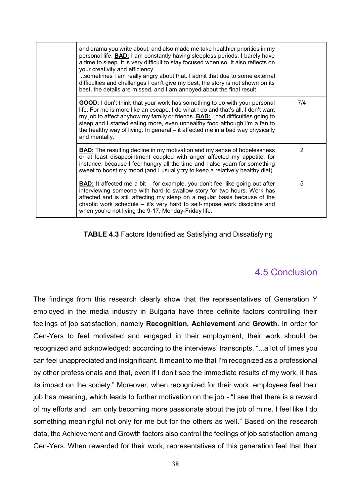| and drama you write about, and also made me take healthier priorities in my<br>personal life. <b>BAD:</b> I am constantly having sleepless periods. I barely have<br>a time to sleep. It is very difficult to stay focused when so. It also reflects on<br>your creativity and efficiency.<br>sometimes I am really angry about that. I admit that due to some external<br>difficulties and challenges I can't give my best, the story is not shown on its<br>best, the details are missed, and I am annoyed about the final result. |     |
|--------------------------------------------------------------------------------------------------------------------------------------------------------------------------------------------------------------------------------------------------------------------------------------------------------------------------------------------------------------------------------------------------------------------------------------------------------------------------------------------------------------------------------------|-----|
| <b>GOOD:</b> I don't think that your work has something to do with your personal<br>life. For me is more like an escape. I do what I do and that's all. I don't want<br>my job to affect anyhow my family or friends. <b>BAD:</b> I had difficulties going to<br>sleep and I started eating more, even unhealthy food although I'm a fan to<br>the healthy way of living. In general – it affected me in a bad way physically<br>and mentally.                                                                                       | 7/4 |
| <b>BAD:</b> The resulting decline in my motivation and my sense of hopelessness<br>or at least disappointment coupled with anger affected my appetite, for<br>instance, because I feel hungry all the time and I also yearn for something<br>sweet to boost my mood (and I usually try to keep a relatively healthy diet).                                                                                                                                                                                                           | 2   |
| <b>BAD:</b> It affected me a bit – for example, you don't feel like going out after<br>interviewing someone with hard-to-swallow story for two hours. Work has<br>affected and is still affecting my sleep on a regular basis because of the<br>chaotic work schedule – it's very hard to self-impose work discipline and<br>when you're not living the 9-17, Monday-Friday life.                                                                                                                                                    | 5   |

#### **TABLE 4.3** Factors Identified as Satisfying and Dissatisfying

### 4.5 Conclusion

The findings from this research clearly show that the representatives of Generation Y employed in the media industry in Bulgaria have three definite factors controlling their feelings of job satisfaction, namely **Recognition, Achievement** and **Growth**. In order for Gen-Yers to feel motivated and engaged in their employment, their work should be recognized and acknowledged: according to the interviews' transcripts, "...a lot of times you can feel unappreciated and insignificant. It meant to me that I'm recognized as a professional by other professionals and that, even if I don't see the immediate results of my work, it has its impact on the society." Moreover, when recognized for their work, employees feel their job has meaning, which leads to further motivation on the job - "I see that there is a reward of my efforts and I am only becoming more passionate about the job of mine. I feel like I do something meaningful not only for me but for the others as well." Based on the research data, the Achievement and Growth factors also control the feelings of job satisfaction among Gen-Yers. When rewarded for their work, representatives of this generation feel that their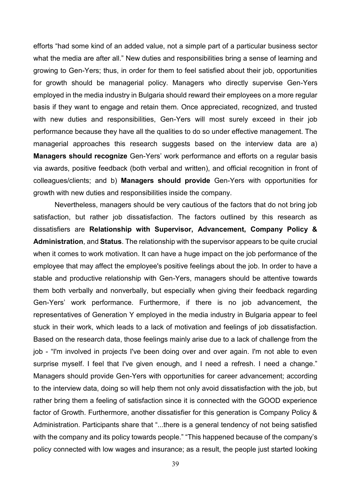efforts "had some kind of an added value, not a simple part of a particular business sector what the media are after all." New duties and responsibilities bring a sense of learning and growing to Gen-Yers; thus, in order for them to feel satisfied about their job, opportunities for growth should be managerial policy. Managers who directly supervise Gen-Yers employed in the media industry in Bulgaria should reward their employees on a more regular basis if they want to engage and retain them. Once appreciated, recognized, and trusted with new duties and responsibilities, Gen-Yers will most surely exceed in their job performance because they have all the qualities to do so under effective management. The managerial approaches this research suggests based on the interview data are a) **Managers should recognize** Gen-Yers' work performance and efforts on a regular basis via awards, positive feedback (both verbal and written), and official recognition in front of colleagues/clients; and b) **Managers should provide** Gen-Yers with opportunities for growth with new duties and responsibilities inside the company.

Nevertheless, managers should be very cautious of the factors that do not bring job satisfaction, but rather job dissatisfaction. The factors outlined by this research as dissatisfiers are **Relationship with Supervisor, Advancement, Company Policy & Administration**, and **Status**. The relationship with the supervisor appears to be quite crucial when it comes to work motivation. It can have a huge impact on the job performance of the employee that may affect the employee's positive feelings about the job. In order to have a stable and productive relationship with Gen-Yers, managers should be attentive towards them both verbally and nonverbally, but especially when giving their feedback regarding Gen-Yers' work performance. Furthermore, if there is no job advancement, the representatives of Generation Y employed in the media industry in Bulgaria appear to feel stuck in their work, which leads to a lack of motivation and feelings of job dissatisfaction. Based on the research data, those feelings mainly arise due to a lack of challenge from the job - "I'm involved in projects I've been doing over and over again. I'm not able to even surprise myself. I feel that I've given enough, and I need a refresh. I need a change." Managers should provide Gen-Yers with opportunities for career advancement; according to the interview data, doing so will help them not only avoid dissatisfaction with the job, but rather bring them a feeling of satisfaction since it is connected with the GOOD experience factor of Growth. Furthermore, another dissatisfier for this generation is Company Policy & Administration. Participants share that "...there is a general tendency of not being satisfied with the company and its policy towards people." "This happened because of the company's policy connected with low wages and insurance; as a result, the people just started looking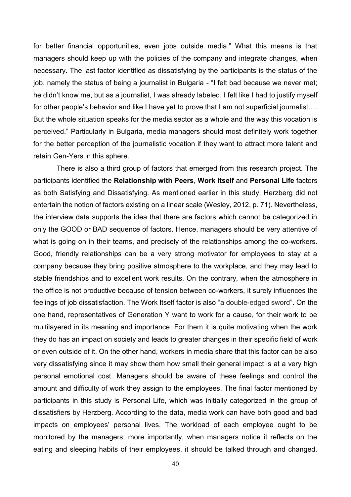for better financial opportunities, even jobs outside media." What this means is that managers should keep up with the policies of the company and integrate changes, when necessary. The last factor identified as dissatisfying by the participants is the status of the job, namely the status of being a journalist in Bulgaria - "I felt bad because we never met; he didn't know me, but as a journalist, I was already labeled. I felt like I had to justify myself for other people's behavior and like I have yet to prove that I am not superficial journalist.... But the whole situation speaks for the media sector as a whole and the way this vocation is perceived." Particularly in Bulgaria, media managers should most definitely work together for the better perception of the journalistic vocation if they want to attract more talent and retain Gen-Yers in this sphere.

There is also a third group of factors that emerged from this research project. The participants identified the **Relationship with Peers**, **Work Itself** and **Personal Life** factors as both Satisfying and Dissatisfying. As mentioned earlier in this study, Herzberg did not entertain the notion of factors existing on a linear scale (Wesley, 2012, p. 71). Nevertheless, the interview data supports the idea that there are factors which cannot be categorized in only the GOOD or BAD sequence of factors. Hence, managers should be very attentive of what is going on in their teams, and precisely of the relationships among the co-workers. Good, friendly relationships can be a very strong motivator for employees to stay at a company because they bring positive atmosphere to the workplace, and they may lead to stable friendships and to excellent work results. On the contrary, when the atmosphere in the office is not productive because of tension between co-workers, it surely influences the feelings of job dissatisfaction. The Work Itself factor is also "a double-edged sword". On the one hand, representatives of Generation Y want to work for a cause, for their work to be multilayered in its meaning and importance. For them it is quite motivating when the work they do has an impact on society and leads to greater changes in their specific field of work or even outside of it. On the other hand, workers in media share that this factor can be also very dissatisfying since it may show them how small their general impact is at a very high personal emotional cost. Managers should be aware of these feelings and control the amount and difficulty of work they assign to the employees. The final factor mentioned by participants in this study is Personal Life, which was initially categorized in the group of dissatisfiers by Herzberg. According to the data, media work can have both good and bad impacts on employees' personal lives. The workload of each employee ought to be monitored by the managers; more importantly, when managers notice it reflects on the eating and sleeping habits of their employees, it should be talked through and changed.

40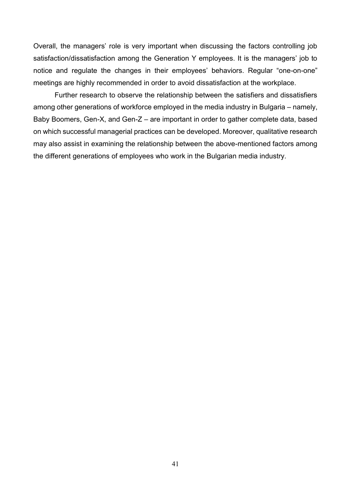Overall, the managers' role is very important when discussing the factors controlling job satisfaction/dissatisfaction among the Generation Y employees. It is the managers' job to notice and regulate the changes in their employees' behaviors. Regular "one-on-one" meetings are highly recommended in order to avoid dissatisfaction at the workplace.

Further research to observe the relationship between the satisfiers and dissatisfiers among other generations of workforce employed in the media industry in Bulgaria – namely, Baby Boomers, Gen-X, and Gen-Z – are important in order to gather complete data, based on which successful managerial practices can be developed. Moreover, qualitative research may also assist in examining the relationship between the above-mentioned factors among the different generations of employees who work in the Bulgarian media industry.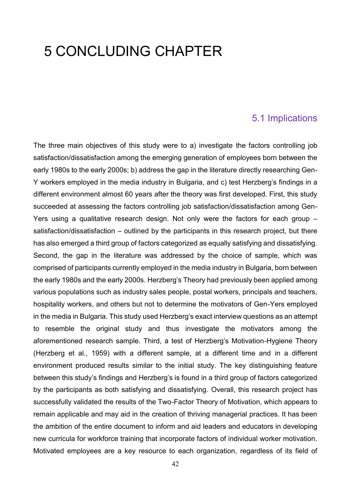# 5 CONCLUDING CHAPTER

#### 5.1 Implications

The three main objectives of this study were to a) investigate the factors controlling job satisfaction/dissatisfaction among the emerging generation of employees born between the early 1980s to the early 2000s; b) address the gap in the literature directly researching Gen-Y workers employed in the media industry in Bulgaria, and c) test Herzberg's findings in a different environment almost 60 years after the theory was first developed. First, this study succeeded at assessing the factors controlling job satisfaction/dissatisfaction among Gen-Yers using a qualitative research design. Not only were the factors for each group – satisfaction/dissatisfaction – outlined by the participants in this research project, but there has also emerged a third group of factors categorized as equally satisfying and dissatisfying. Second, the gap in the literature was addressed by the choice of sample, which was comprised of participants currently employed in the media industry in Bulgaria, born between the early 1980s and the early 2000s. Herzberg's Theory had previously been applied among various populations such as industry sales people, postal workers, principals and teachers, hospitality workers, and others but not to determine the motivators of Gen-Yers employed in the media in Bulgaria. This study used Herzberg's exact interview questions as an attempt to resemble the original study and thus investigate the motivators among the aforementioned research sample. Third, a test of Herzberg's Motivation-Hygiene Theory (Herzberg et al., 1959) with a different sample, at a different time and in a different environment produced results similar to the initial study. The key distinguishing feature between this study's findings and Herzberg's is found in a third group of factors categorized by the participants as both satisfying and dissatisfying. Overall, this research project has successfully validated the results of the Two-Factor Theory of Motivation, which appears to remain applicable and may aid in the creation of thriving managerial practices. It has been the ambition of the entire document to inform and aid leaders and educators in developing new curricula for workforce training that incorporate factors of individual worker motivation. Motivated employees are a key resource to each organization, regardless of its field of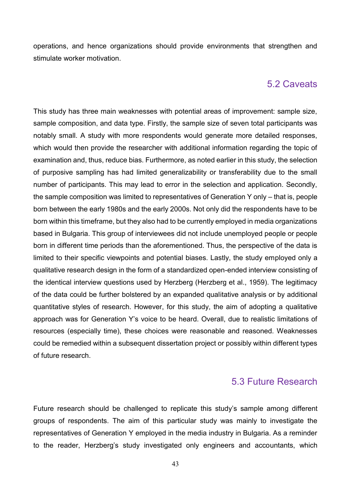operations, and hence organizations should provide environments that strengthen and stimulate worker motivation.

#### 5.2 Caveats

This study has three main weaknesses with potential areas of improvement: sample size, sample composition, and data type. Firstly, the sample size of seven total participants was notably small. A study with more respondents would generate more detailed responses, which would then provide the researcher with additional information regarding the topic of examination and, thus, reduce bias. Furthermore, as noted earlier in this study, the selection of purposive sampling has had limited generalizability or transferability due to the small number of participants. This may lead to error in the selection and application. Secondly, the sample composition was limited to representatives of Generation Y only – that is, people born between the early 1980s and the early 2000s. Not only did the respondents have to be born within this timeframe, but they also had to be currently employed in media organizations based in Bulgaria. This group of interviewees did not include unemployed people or people born in different time periods than the aforementioned. Thus, the perspective of the data is limited to their specific viewpoints and potential biases. Lastly, the study employed only a qualitative research design in the form of a standardized open-ended interview consisting of the identical interview questions used by Herzberg (Herzberg et al., 1959). The legitimacy of the data could be further bolstered by an expanded qualitative analysis or by additional quantitative styles of research. However, for this study, the aim of adopting a qualitative approach was for Generation Y's voice to be heard. Overall, due to realistic limitations of resources (especially time), these choices were reasonable and reasoned. Weaknesses could be remedied within a subsequent dissertation project or possibly within different types of future research.

#### 5.3 Future Research

Future research should be challenged to replicate this study's sample among different groups of respondents. The aim of this particular study was mainly to investigate the representatives of Generation Y employed in the media industry in Bulgaria. As a reminder to the reader, Herzberg's study investigated only engineers and accountants, which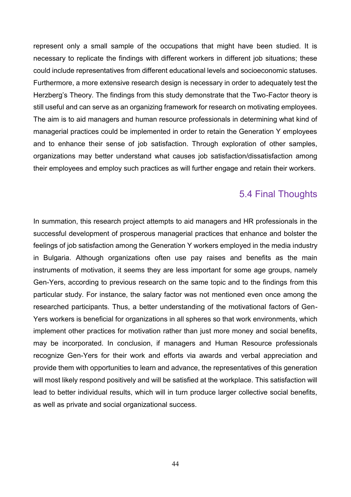represent only a small sample of the occupations that might have been studied. It is necessary to replicate the findings with different workers in different job situations; these could include representatives from different educational levels and socioeconomic statuses. Furthermore, a more extensive research design is necessary in order to adequately test the Herzberg's Theory. The findings from this study demonstrate that the Two-Factor theory is still useful and can serve as an organizing framework for research on motivating employees. The aim is to aid managers and human resource professionals in determining what kind of managerial practices could be implemented in order to retain the Generation Y employees and to enhance their sense of job satisfaction. Through exploration of other samples, organizations may better understand what causes job satisfaction/dissatisfaction among their employees and employ such practices as will further engage and retain their workers.

### 5.4 Final Thoughts

In summation, this research project attempts to aid managers and HR professionals in the successful development of prosperous managerial practices that enhance and bolster the feelings of job satisfaction among the Generation Y workers employed in the media industry in Bulgaria. Although organizations often use pay raises and benefits as the main instruments of motivation, it seems they are less important for some age groups, namely Gen-Yers, according to previous research on the same topic and to the findings from this particular study. For instance, the salary factor was not mentioned even once among the researched participants. Thus, a better understanding of the motivational factors of Gen-Yers workers is beneficial for organizations in all spheres so that work environments, which implement other practices for motivation rather than just more money and social benefits, may be incorporated. In conclusion, if managers and Human Resource professionals recognize Gen-Yers for their work and efforts via awards and verbal appreciation and provide them with opportunities to learn and advance, the representatives of this generation will most likely respond positively and will be satisfied at the workplace. This satisfaction will lead to better individual results, which will in turn produce larger collective social benefits, as well as private and social organizational success.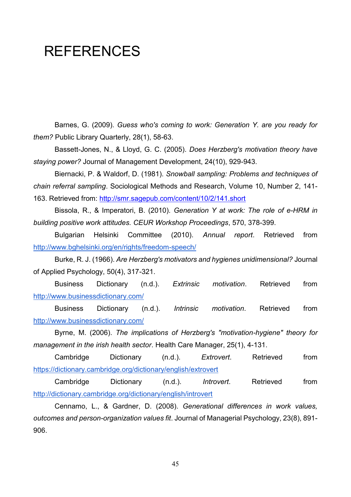# <span id="page-48-0"></span>**REFERENCES**

Barnes, G. (2009). *Guess who's coming to work: Generation Y. are you ready for them?* Public Library Quarterly, 28(1), 58-63.

Bassett-Jones, N., & Lloyd, G. C. (2005). *Does Herzberg's motivation theory have staying power?* Journal of Management Development, 24(10), 929-943.

Biernacki, P. & Waldorf, D. (1981). *Snowball sampling: Problems and techniques of chain referral sampling*. Sociological Methods and Research, Volume 10, Number 2, 141- 163. Retrieved from:<http://smr.sagepub.com/content/10/2/141.short>

Bissola, R., & Imperatori, B. (2010). *Generation Y at work: The role of e-HRM in building positive work attitudes. CEUR Workshop Proceedings*, 570, 378-399.

Bulgarian Helsinki Committee (2010). *Annual report*. Retrieved from <http://www.bghelsinki.org/en/rights/freedom-speech/>

Burke, R. J. (1966). *Are Herzberg's motivators and hygienes unidimensional?* Journal of Applied Psychology, 50(4), 317-321.

Business Dictionary (n.d.). *Extrinsic motivation*. Retrieved fro[m](http://www.businessdictionary.com/) <http://www.businessdictionary.com/>

Business Dictionary (n.d.). *Intrinsic motivation*. Retrieved fro[m](http://www.businessdictionary.com/) <http://www.businessdictionary.com/>

Byrne, M. (2006). *The implications of Herzberg's "motivation-hygiene" theory for management in the irish health sector*. Health Care Manager, 25(1), 4-131.

Cambridge Dictionary (n.d.). *Extrovert*. Retrieved from <https://dictionary.cambridge.org/dictionary/english/extrovert>

Cambridge Dictionary (n.d.). *Introvert*. Retrieved from <http://dictionary.cambridge.org/dictionary/english/introvert>

Cennamo, L., & Gardner, D. (2008). *Generational differences in work values, outcomes and person-organization values fit*. Journal of Managerial Psychology, 23(8), 891- 906.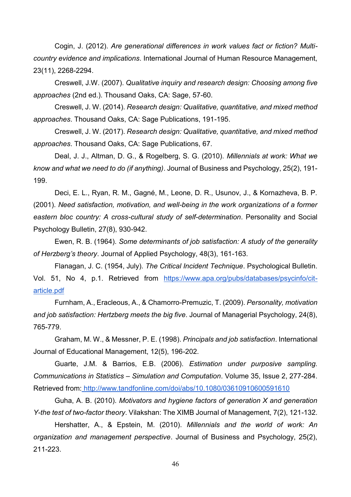Cogin, J. (2012). *Are generational differences in work values fact or fiction? Multicountry evidence and implications*. International Journal of Human Resource Management, 23(11), 2268-2294.

Creswell, J.W. (2007). *Qualitative inquiry and research design: Choosing among five approaches* (2nd ed.). Thousand Oaks, CA: Sage, 57-60.

Creswell, J. W. (2014). *Research design: Qualitative, quantitative, and mixed method approaches*. Thousand Oaks, CA: Sage Publications, 191-195.

Creswell, J. W. (2017). *Research design: Qualitative, quantitative, and mixed method approaches*. Thousand Oaks, CA: Sage Publications, 67.

Deal, J. J., Altman, D. G., & Rogelberg, S. G. (2010). *Millennials at work: What we know and what we need to do (if anything)*. Journal of Business and Psychology, 25(2), 191- 199.

Deci, E. L., Ryan, R. M., Gagné, M., Leone, D. R., Usunov, J., & Kornazheva, B. P. (2001). *Need satisfaction, motivation, and well-being in the work organizations of a former eastern bloc country: A cross-cultural study of self-determination*. Personality and Social Psychology Bulletin, 27(8), 930-942.

Ewen, R. B. (1964). *Some determinants of job satisfaction: A study of the generality of Herzberg's theory*. Journal of Applied Psychology, 48(3), 161-163.

Flanagan, J. C. (1954, July). *The Critical Incident Technique*. Psychological Bulletin. Vol. 51, No 4, p.1. Retrieved from [https://www.apa.org/pubs/databases/psycinfo/cit](https://www.apa.org/pubs/databases/psycinfo/cit-article.pdf)[article.pdf](https://www.apa.org/pubs/databases/psycinfo/cit-article.pdf)

Furnham, A., Eracleous, A., & Chamorro-Premuzic, T. (2009). *Personality, motivation and job satisfaction: Hertzberg meets the big five*. Journal of Managerial Psychology, 24(8), 765-779.

Graham, M. W., & Messner, P. E. (1998). *Principals and job satisfaction*. International Journal of Educational Management, 12(5), 196-202.

Guarte, J.M. & Barrios, E.B. (2006). *Estimation under purposive sampling. Communications in Statistics – Simulation and Computation*. Volume 35, Issue 2, 277-284. Retrieved from: <http://www.tandfonline.com/doi/abs/10.1080/03610910600591610>

Guha, A. B. (2010). *Motivators and hygiene factors of generation X and generation Y-the test of two-factor theory*. Vilakshan: The XIMB Journal of Management, 7(2), 121-132.

Hershatter, A., & Epstein, M. (2010). *Millennials and the world of work: An organization and management perspective*. Journal of Business and Psychology, 25(2), 211-223.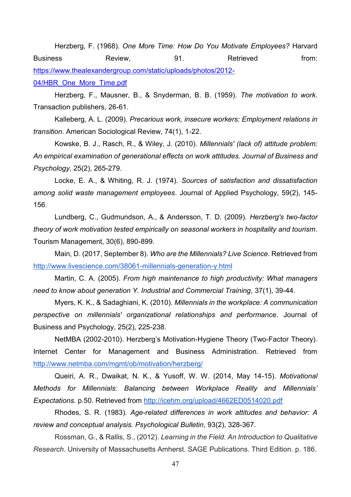Herzberg, F. (1968). *One More Time: How Do You Motivate Employees?* Harvard Business **Review,** 81. Retrieved **from:** [https://www.thealexandergroup.com/static/uploads/photos/2012-](https://www.thealexandergroup.com/static/uploads/photos/2012-04/HBR_One_More_Time.pdf) [04/HBR\\_One\\_More\\_Time.pdf](https://www.thealexandergroup.com/static/uploads/photos/2012-04/HBR_One_More_Time.pdf)

Herzberg, F., Mausner, B., & Snyderman, B. B. (1959). *The motivation to work*. Transaction publishers, 26-61.

Kalleberg, A. L. (2009). *Precarious work, insecure workers: Employment relations in transition*. American Sociological Review, 74(1), 1-22.

Kowske, B. J., Rasch, R., & Wiley, J. (2010). *Millennials' (lack of) attitude problem: An empirical examination of generational effects on work attitudes. Journal of Business and Psychology*, 25(2), 265-279.

Locke, E. A., & Whiting, R. J. (1974). *Sources of satisfaction and dissatisfaction among solid waste management employees*. Journal of Applied Psychology, 59(2), 145- 156.

Lundberg, C., Gudmundson, A., & Andersson, T. D. (2009). *Herzberg's two-factor theory of work motivation tested empirically on seasonal workers in hospitality and tourism*. Tourism Management, 30(6), 890-899.

Main, D. (2017, September 8). *Who are the Millennials? Live Science*. Retrieved fro[m](http://www.livescience.com/38061-millennials-generation-y.html) <http://www.livescience.com/38061-millennials-generation-y.html>

Martin, C. A. (2005). *From high maintenance to high productivity: What managers need to know about generation Y. Industrial and Commercial Training*, 37(1), 39-44.

Myers, K. K., & Sadaghiani, K. (2010). *Millennials in the workplace: A communication perspective on millennials' organizational relationships and performance*. Journal of Business and Psychology, 25(2), 225-238.

NetMBA (2002-2010). Herzberg's Motivation-Hygiene Theory (Two-Factor Theory). Internet Center for Management and Business Administration. Retrieved fro[m](http://www.netmba.com/mgmt/ob/motivation/herzberg/) <http://www.netmba.com/mgmt/ob/motivation/herzberg/>

Queiri, A. R., Dwaikat, N. K., & Yusoff, W. W. (2014, May 14-15). *Motivational Methods for Millennials: Balancing between Workplace Reality and Millennials' Expectations*. p.50. Retrieved from<http://icehm.org/upload/4662ED0514020.pdf>

Rhodes, S. R. (1983). *Age-related differences in work attitudes and behavior: A review and conceptual analysis. Psychological Bulletin*, 93(2), 328-367.

Rossman, G., & Rallis, S., (2012). *Learning in the Field. An Introduction to Qualitative Research*. University of Massachusetts Amherst. SAGE Publications. Third Edition. p. 186.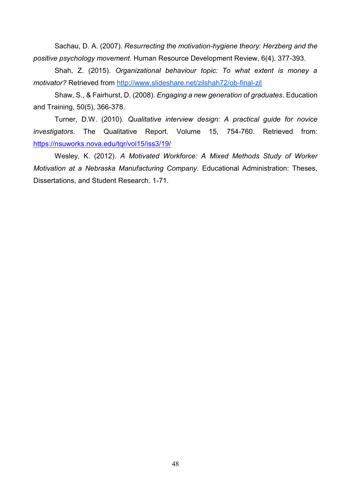Sachau, D. A. (2007). *Resurrecting the motivation-hygiene theory: Herzberg and the positive psychology movement*. Human Resource Development Review, 6(4), 377-393.

Shah, Z. (2015). *Organizational behaviour topic: To what extent is money a motivator?* Retrieved from<http://www.slideshare.net/zilshah72/ob-final-zil>

Shaw, S., & Fairhurst, D. (2008). *Engaging a new generation of graduates*. Education and Training, 50(5), 366-378.

Turner, D.W. (2010). *Qualitative interview design: A practical guide for novice investigators*. The Qualitative Report. Volume 15, 754-760. Retrieved from: <https://nsuworks.nova.edu/tqr/vol15/iss3/19/>

Wesley, K. (2012). *A Motivated Workforce: A Mixed Methods Study of Worker Motivation at a Nebraska Manufacturing Company*. Educational Administration: Theses, Dissertations, and Student Research. 1-71.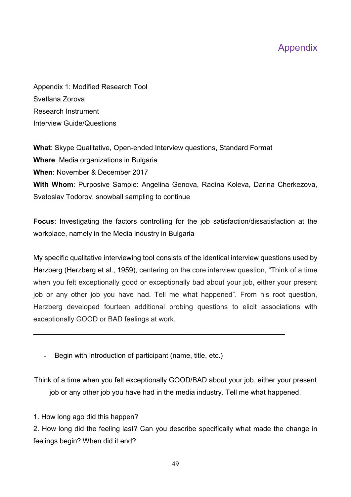# Appendix

Appendix 1: Modified Research Tool Svetlana Zorova Research Instrument Interview Guide/Questions

**What**: Skype Qualitative, Open-ended Interview questions, Standard Format **Where**: Media organizations in Bulgaria **When**: November & December 2017 **With Whom**: Purposive Sample: Angelina Genova, Radina Koleva, Darina Cherkezova, Svetoslav Todorov, snowball sampling to continue

**Focus**: Investigating the factors controlling for the job satisfaction/dissatisfaction at the workplace, namely in the Media industry in Bulgaria

My specific qualitative interviewing tool consists of the identical interview questions used by Herzberg (Herzberg et al., 1959), centering on the core interview question, "Think of a time when you felt exceptionally good or exceptionally bad about your job, either your present job or any other job you have had. Tell me what happened". From his root question, Herzberg developed fourteen additional probing questions to elicit associations with exceptionally GOOD or BAD feelings at work.

 $\mathcal{L}_\mathcal{L}$  , and the contribution of the contribution of the contribution of the contribution of the contribution of the contribution of the contribution of the contribution of the contribution of the contribution of

Begin with introduction of participant (name, title, etc.)

Think of a time when you felt exceptionally GOOD/BAD about your job, either your present job or any other job you have had in the media industry. Tell me what happened.

1. How long ago did this happen?

2. How long did the feeling last? Can you describe specifically what made the change in feelings begin? When did it end?